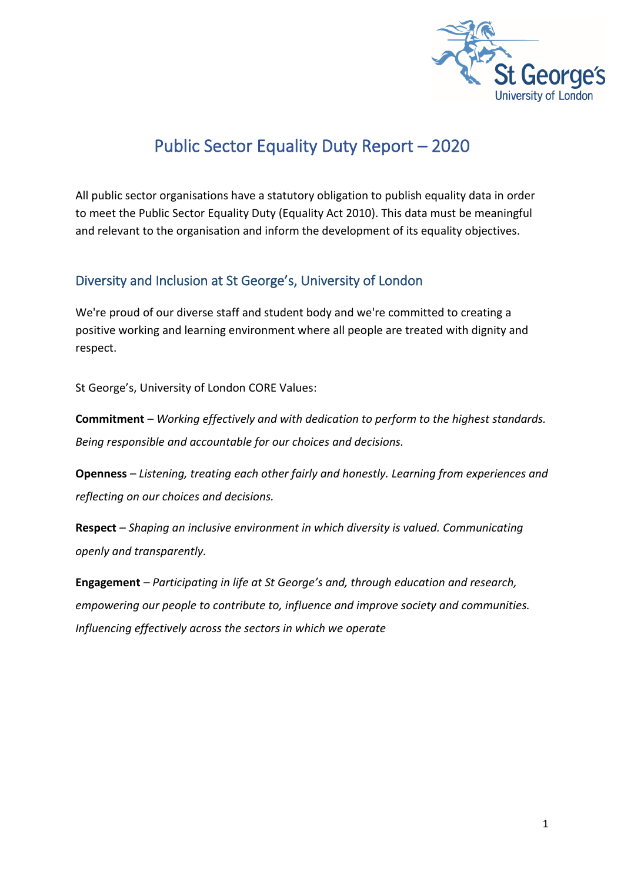

# Public Sector Equality Duty Report – 2020

All public sector organisations have a statutory obligation to publish equality data in order to meet the Public Sector Equality Duty (Equality Act 2010). This data must be meaningful and relevant to the organisation and inform the development of its equality objectives.

## Diversity and Inclusion at St George's, University of London

We're proud of our diverse staff and student body and we're committed to creating a positive working and learning environment where all people are treated with dignity and respect.

St George's, University of London CORE Values:

**Commitment** *– Working effectively and with dedication to perform to the highest standards. Being responsible and accountable for our choices and decisions.*

**Openness** *– Listening, treating each other fairly and honestly. Learning from experiences and reflecting on our choices and decisions.*

**Respect** *– Shaping an inclusive environment in which diversity is valued. Communicating openly and transparently.*

**Engagement** *– Participating in life at St George's and, through education and research, empowering our people to contribute to, influence and improve society and communities. Influencing effectively across the sectors in which we operate*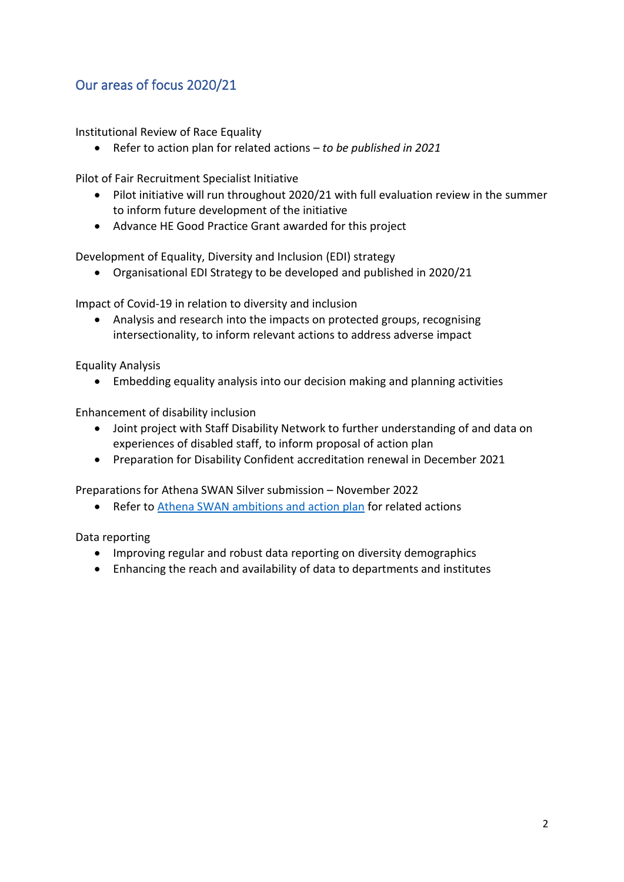## Our areas of focus 2020/21

Institutional Review of Race Equality

• Refer to action plan for related actions – *to be published in 2021*

Pilot of Fair Recruitment Specialist Initiative

- Pilot initiative will run throughout 2020/21 with full evaluation review in the summer to inform future development of the initiative
- Advance HE Good Practice Grant awarded for this project

Development of Equality, Diversity and Inclusion (EDI) strategy

• Organisational EDI Strategy to be developed and published in 2020/21

Impact of Covid-19 in relation to diversity and inclusion

• Analysis and research into the impacts on protected groups, recognising intersectionality, to inform relevant actions to address adverse impact

Equality Analysis

• Embedding equality analysis into our decision making and planning activities

Enhancement of disability inclusion

- Joint project with Staff Disability Network to further understanding of and data on experiences of disabled staff, to inform proposal of action plan
- Preparation for Disability Confident accreditation renewal in December 2021

Preparations for Athena SWAN Silver submission – November 2022

• Refer to [Athena SWAN ambitions and action plan](https://www.sgul.ac.uk/about/who-we-are/athena-swan/our-ambitions-and-action-plan) for related actions

Data reporting

- Improving regular and robust data reporting on diversity demographics
- Enhancing the reach and availability of data to departments and institutes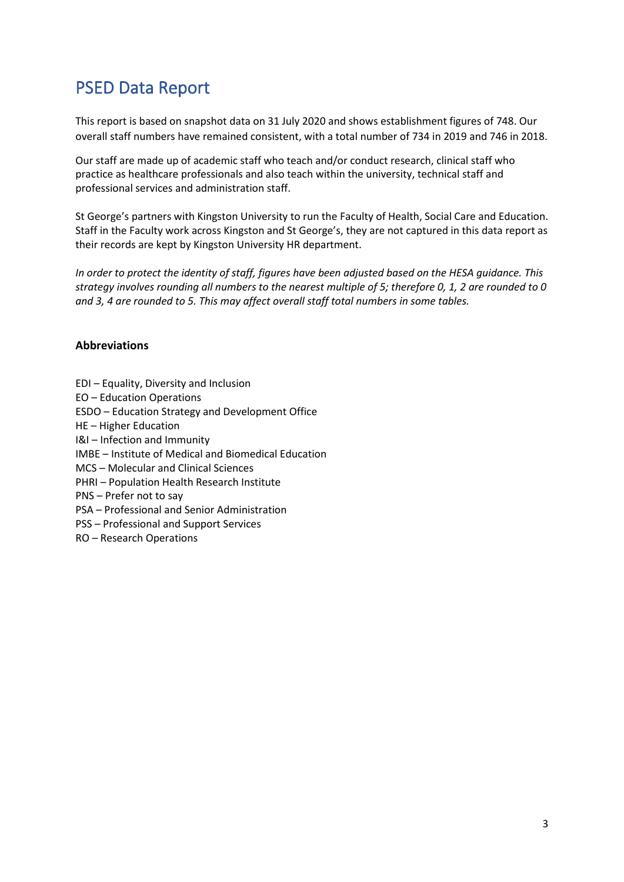# PSED Data Report

This report is based on snapshot data on 31 July 2020 and shows establishment figures of 748. Our overall staff numbers have remained consistent, with a total number of 734 in 2019 and 746 in 2018.

Our staff are made up of academic staff who teach and/or conduct research, clinical staff who practice as healthcare professionals and also teach within the university, technical staff and professional services and administration staff.

St George's partners with Kingston University to run the Faculty of Health, Social Care and Education. Staff in the Faculty work across Kingston and St George's, they are not captured in this data report as their records are kept by Kingston University HR department.

*In order to protect the identity of staff, figures have been adjusted based on the HESA guidance. This strategy involves rounding all numbers to the nearest multiple of 5; therefore 0, 1, 2 are rounded to 0 and 3, 4 are rounded to 5. This may affect overall staff total numbers in some tables.*

## **Abbreviations**

EDI – Equality, Diversity and Inclusion EO – Education Operations ESDO – Education Strategy and Development Office HE – Higher Education I&I – Infection and Immunity IMBE – Institute of Medical and Biomedical Education MCS – Molecular and Clinical Sciences PHRI – Population Health Research Institute PNS – Prefer not to say PSA – Professional and Senior Administration PSS – Professional and Support Services RO – Research Operations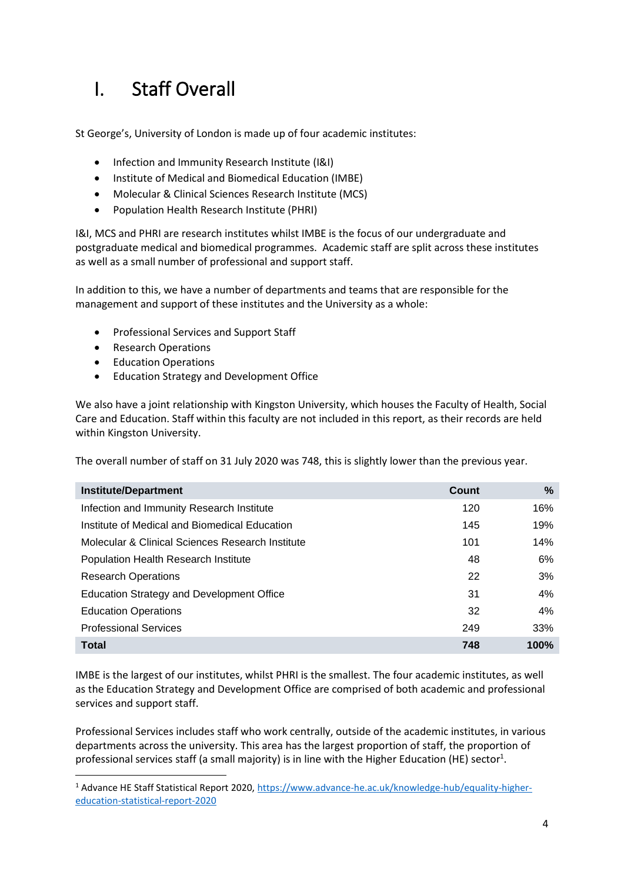# I. Staff Overall

St George's, University of London is made up of four academic institutes:

- Infection and Immunity Research Institute (I&I)
- Institute of Medical and Biomedical Education (IMBE)
- Molecular & Clinical Sciences Research Institute (MCS)
- Population Health Research Institute (PHRI)

I&I, MCS and PHRI are research institutes whilst IMBE is the focus of our undergraduate and postgraduate medical and biomedical programmes. Academic staff are split across these institutes as well as a small number of professional and support staff.

In addition to this, we have a number of departments and teams that are responsible for the management and support of these institutes and the University as a whole:

- Professional Services and Support Staff
- Research Operations
- Education Operations
- Education Strategy and Development Office

We also have a joint relationship with Kingston University, which houses the Faculty of Health, Social Care and Education. Staff within this faculty are not included in this report, as their records are held within Kingston University.

The overall number of staff on 31 July 2020 was 748, this is slightly lower than the previous year.

| <b>Institute/Department</b>                      | Count | %    |
|--------------------------------------------------|-------|------|
| Infection and Immunity Research Institute        | 120   | 16%  |
| Institute of Medical and Biomedical Education    | 145   | 19%  |
| Molecular & Clinical Sciences Research Institute | 101   | 14%  |
| Population Health Research Institute             | 48    | 6%   |
| <b>Research Operations</b>                       | 22    | 3%   |
| Education Strategy and Development Office        | 31    | 4%   |
| <b>Education Operations</b>                      | 32    | 4%   |
| <b>Professional Services</b>                     | 249   | 33%  |
| <b>Total</b>                                     | 748   | 100% |

IMBE is the largest of our institutes, whilst PHRI is the smallest. The four academic institutes, as well as the Education Strategy and Development Office are comprised of both academic and professional services and support staff.

Professional Services includes staff who work centrally, outside of the academic institutes, in various departments across the university. This area has the largest proportion of staff, the proportion of professional services staff (a small majority) is in line with the Higher Education (HE) sector<sup>1</sup>.

<sup>1</sup> Advance HE Staff Statistical Report 2020[, https://www.advance-he.ac.uk/knowledge-hub/equality-higher](https://www.advance-he.ac.uk/knowledge-hub/equality-higher-education-statistical-report-2020)[education-statistical-report-2020](https://www.advance-he.ac.uk/knowledge-hub/equality-higher-education-statistical-report-2020)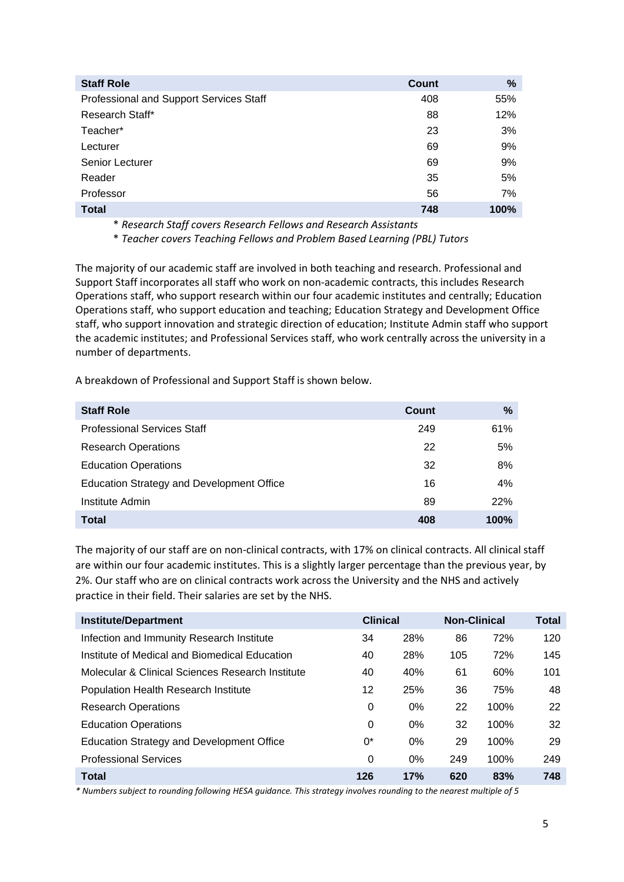| <b>Staff Role</b>                       | <b>Count</b> | %    |
|-----------------------------------------|--------------|------|
| Professional and Support Services Staff | 408          | 55%  |
| Research Staff*                         | 88           | 12%  |
| Teacher*                                | 23           | 3%   |
| Lecturer                                | 69           | 9%   |
| Senior Lecturer                         | 69           | 9%   |
| Reader                                  | 35           | 5%   |
| Professor                               | 56           | 7%   |
| <b>Total</b>                            | 748          | 100% |

\* *Research Staff covers Research Fellows and Research Assistants* 

\* *Teacher covers Teaching Fellows and Problem Based Learning (PBL) Tutors* 

The majority of our academic staff are involved in both teaching and research. Professional and Support Staff incorporates all staff who work on non-academic contracts, this includes Research Operations staff, who support research within our four academic institutes and centrally; Education Operations staff, who support education and teaching; Education Strategy and Development Office staff, who support innovation and strategic direction of education; Institute Admin staff who support the academic institutes; and Professional Services staff, who work centrally across the university in a number of departments.

A breakdown of Professional and Support Staff is shown below.

| <b>Staff Role</b>                                | Count | %          |
|--------------------------------------------------|-------|------------|
| <b>Professional Services Staff</b>               | 249   | 61%        |
| <b>Research Operations</b>                       | 22    | 5%         |
| <b>Education Operations</b>                      | 32    | 8%         |
| <b>Education Strategy and Development Office</b> | 16    | 4%         |
| Institute Admin                                  | 89    | <b>22%</b> |
| <b>Total</b>                                     | 408   | 100%       |

The majority of our staff are on non-clinical contracts, with 17% on clinical contracts. All clinical staff are within our four academic institutes. This is a slightly larger percentage than the previous year, by 2%. Our staff who are on clinical contracts work across the University and the NHS and actively practice in their field. Their salaries are set by the NHS.

| <b>Institute/Department</b>                      | <b>Clinical</b> |       | <b>Non-Clinical</b> |      | <b>Total</b> |
|--------------------------------------------------|-----------------|-------|---------------------|------|--------------|
| Infection and Immunity Research Institute        | 34              | 28%   | 86                  | 72%  | 120          |
| Institute of Medical and Biomedical Education    | 40              | 28%   | 105                 | 72%  | 145          |
| Molecular & Clinical Sciences Research Institute | 40              | 40%   | 61                  | 60%  | 101          |
| Population Health Research Institute             | 12              | 25%   | 36                  | 75%  | 48           |
| <b>Research Operations</b>                       | 0               | $0\%$ | 22                  | 100% | 22           |
| <b>Education Operations</b>                      | $\Omega$        | $0\%$ | 32                  | 100% | 32           |
| <b>Education Strategy and Development Office</b> | $0^*$           | $0\%$ | 29                  | 100% | 29           |
| <b>Professional Services</b>                     | $\Omega$        | $0\%$ | 249                 | 100% | 249          |
| <b>Total</b>                                     | 126             | 17%   | 620                 | 83%  | 748          |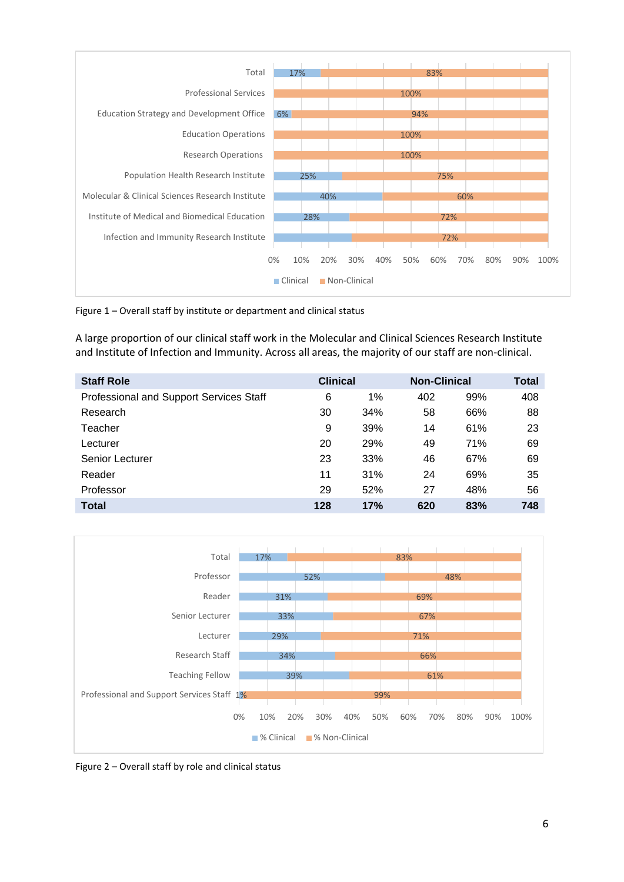

Figure 1 – Overall staff by institute or department and clinical status

A large proportion of our clinical staff work in the Molecular and Clinical Sciences Research Institute and Institute of Infection and Immunity. Across all areas, the majority of our staff are non-clinical.

| <b>Staff Role</b>                       | <b>Clinical</b> |     | <b>Non-Clinical</b> |     | <b>Total</b> |
|-----------------------------------------|-----------------|-----|---------------------|-----|--------------|
| Professional and Support Services Staff | 6               | 1%  | 402                 | 99% | 408          |
| Research                                | 30              | 34% | 58                  | 66% | 88           |
| Teacher                                 | 9               | 39% | 14                  | 61% | 23           |
| Lecturer                                | 20              | 29% | 49                  | 71% | 69           |
| Senior Lecturer                         | 23              | 33% | 46                  | 67% | 69           |
| Reader                                  | 11              | 31% | 24                  | 69% | 35           |
| Professor                               | 29              | 52% | 27                  | 48% | 56           |
| <b>Total</b>                            | 128             | 17% | 620                 | 83% | 748          |



Figure 2 – Overall staff by role and clinical status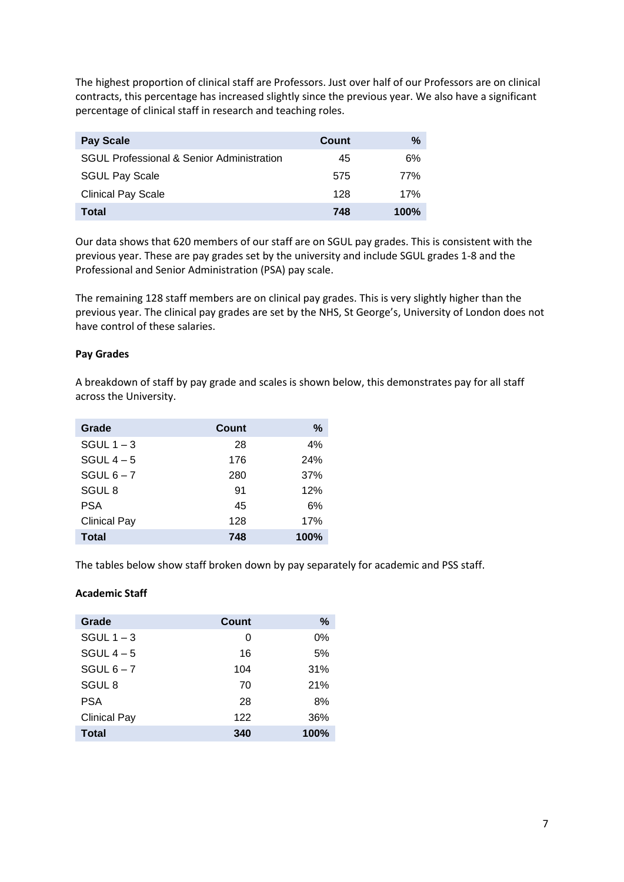The highest proportion of clinical staff are Professors. Just over half of our Professors are on clinical contracts, this percentage has increased slightly since the previous year. We also have a significant percentage of clinical staff in research and teaching roles.

| <b>Pay Scale</b>                                     | Count | %       |
|------------------------------------------------------|-------|---------|
| <b>SGUL Professional &amp; Senior Administration</b> | 45    | 6%      |
| <b>SGUL Pay Scale</b>                                | 575   | 77%     |
| <b>Clinical Pay Scale</b>                            | 128   | 17%     |
| Total                                                | 748   | $100\%$ |

Our data shows that 620 members of our staff are on SGUL pay grades. This is consistent with the previous year. These are pay grades set by the university and include SGUL grades 1-8 and the Professional and Senior Administration (PSA) pay scale.

The remaining 128 staff members are on clinical pay grades. This is very slightly higher than the previous year. The clinical pay grades are set by the NHS, St George's, University of London does not have control of these salaries.

### **Pay Grades**

A breakdown of staff by pay grade and scales is shown below, this demonstrates pay for all staff across the University.

| Grade               | Count | %    |
|---------------------|-------|------|
| SGUL $1 - 3$        | 28    | 4%   |
| SGUL $4-5$          | 176   | 24%  |
| SGUL $6 - 7$        | 280   | 37%  |
| SGUL <sub>8</sub>   | 91    | 12%  |
| <b>PSA</b>          | 45    | 6%   |
| <b>Clinical Pay</b> | 128   | 17%  |
| <b>Total</b>        | 748   | 100% |

The tables below show staff broken down by pay separately for academic and PSS staff.

### **Academic Staff**

| Grade               | Count | %     |
|---------------------|-------|-------|
| SGUL $1 - 3$        | 0     | $0\%$ |
| SGUL $4-5$          | 16    | 5%    |
| SGUL $6 - 7$        | 104   | 31%   |
| SGUL <sub>8</sub>   | 70    | 21%   |
| <b>PSA</b>          | 28    | 8%    |
| <b>Clinical Pay</b> | 122   | 36%   |
| <b>Total</b>        | 340   | 100%  |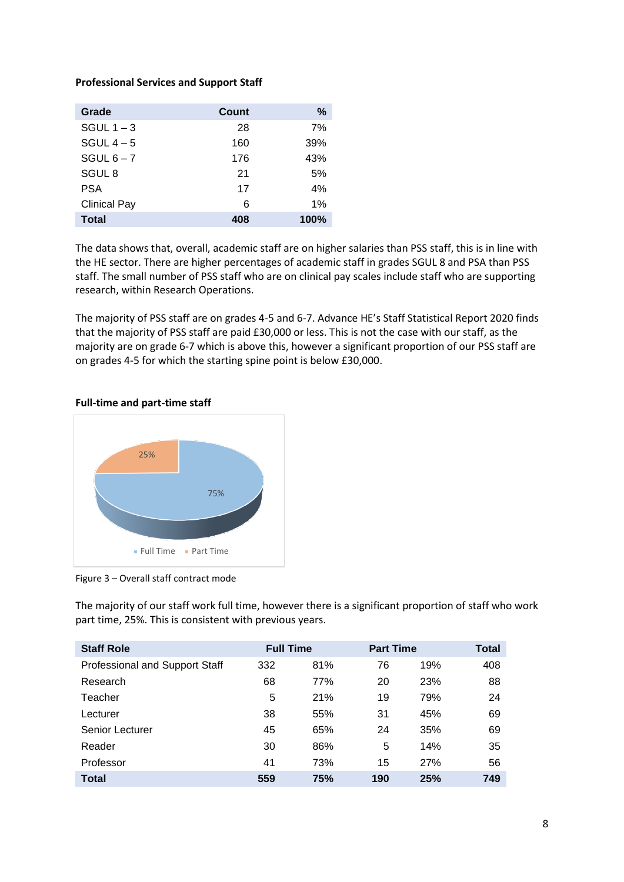### **Professional Services and Support Staff**

| Grade               | Count | %    |
|---------------------|-------|------|
| SGUL $1 - 3$        | 28    | 7%   |
| SGUL $4-5$          | 160   | 39%  |
| SGUL $6 - 7$        | 176   | 43%  |
| SGUL <sub>8</sub>   | 21    | 5%   |
| <b>PSA</b>          | 17    | 4%   |
| <b>Clinical Pay</b> | 6     | 1%   |
| <b>Total</b>        | 408   | 100% |

The data shows that, overall, academic staff are on higher salaries than PSS staff, this is in line with the HE sector. There are higher percentages of academic staff in grades SGUL 8 and PSA than PSS staff. The small number of PSS staff who are on clinical pay scales include staff who are supporting research, within Research Operations.

The majority of PSS staff are on grades 4-5 and 6-7. Advance HE's Staff Statistical Report 2020 finds that the majority of PSS staff are paid £30,000 or less. This is not the case with our staff, as the majority are on grade 6-7 which is above this, however a significant proportion of our PSS staff are on grades 4-5 for which the starting spine point is below £30,000.



## **Full-time and part-time staff**

Figure 3 – Overall staff contract mode

The majority of our staff work full time, however there is a significant proportion of staff who work part time, 25%. This is consistent with previous years.

| <b>Staff Role</b>                     | <b>Full Time</b> |     | <b>Part Time</b> |            | Total |
|---------------------------------------|------------------|-----|------------------|------------|-------|
| <b>Professional and Support Staff</b> | 332              | 81% | 76               | 19%        | 408   |
| Research                              | 68               | 77% | 20               | 23%        | 88    |
| Teacher                               | 5                | 21% | 19               | 79%        | 24    |
| Lecturer                              | 38               | 55% | 31               | 45%        | 69    |
| Senior Lecturer                       | 45               | 65% | 24               | 35%        | 69    |
| Reader                                | 30               | 86% | 5                | 14%        | 35    |
| Professor                             | 41               | 73% | 15               | <b>27%</b> | 56    |
| <b>Total</b>                          | 559              | 75% | 190              | 25%        | 749   |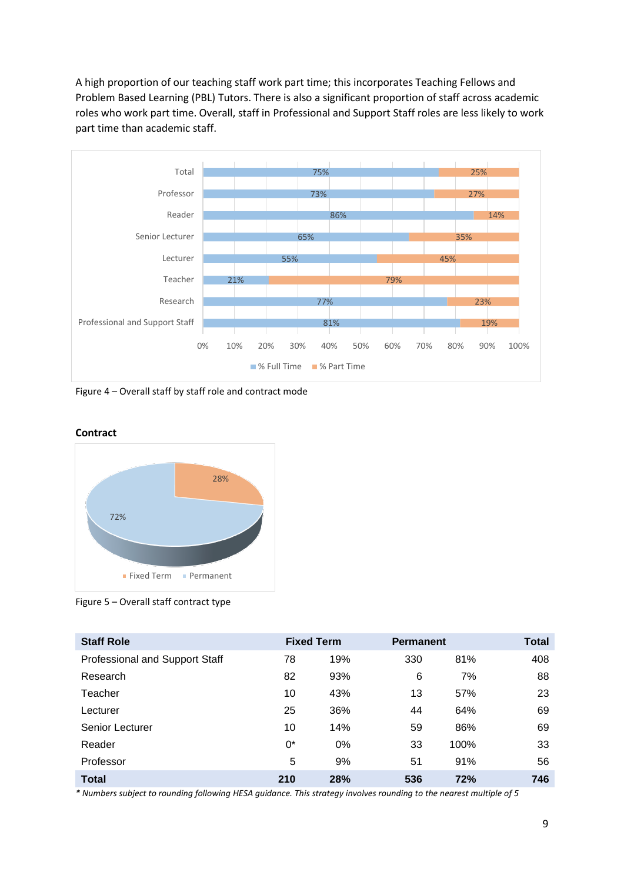A high proportion of our teaching staff work part time; this incorporates Teaching Fellows and Problem Based Learning (PBL) Tutors. There is also a significant proportion of staff across academic roles who work part time. Overall, staff in Professional and Support Staff roles are less likely to work part time than academic staff.



Figure 4 – Overall staff by staff role and contract mode



Figure 5 – Overall staff contract type

| <b>Staff Role</b>              |     | <b>Fixed Term</b> | <b>Permanent</b> |      | <b>Total</b> |
|--------------------------------|-----|-------------------|------------------|------|--------------|
| Professional and Support Staff | 78  | 19%               | 330              | 81%  | 408          |
| Research                       | 82  | 93%               | 6                | 7%   | 88           |
| Teacher                        | 10  | 43%               | 13               | 57%  | 23           |
| Lecturer                       | 25  | 36%               | 44               | 64%  | 69           |
| Senior Lecturer                | 10  | 14%               | 59               | 86%  | 69           |
| Reader                         | 0*  | 0%                | 33               | 100% | 33           |
| Professor                      | 5   | 9%                | 51               | 91%  | 56           |
| <b>Total</b>                   | 210 | 28%               | 536              | 72%  | 746          |

**Contract**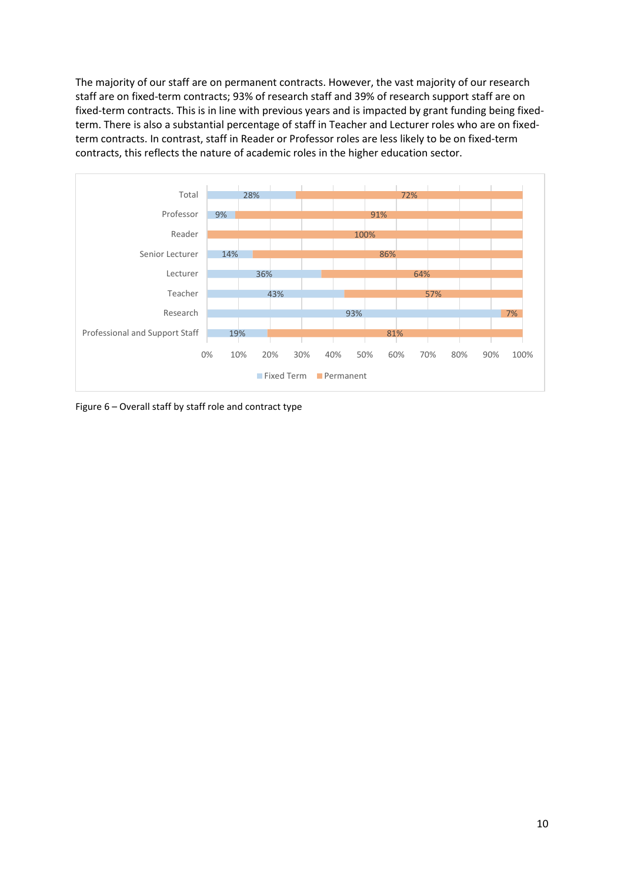The majority of our staff are on permanent contracts. However, the vast majority of our research staff are on fixed-term contracts; 93% of research staff and 39% of research support staff are on fixed-term contracts. This is in line with previous years and is impacted by grant funding being fixedterm. There is also a substantial percentage of staff in Teacher and Lecturer roles who are on fixedterm contracts. In contrast, staff in Reader or Professor roles are less likely to be on fixed-term contracts, this reflects the nature of academic roles in the higher education sector.



Figure 6 – Overall staff by staff role and contract type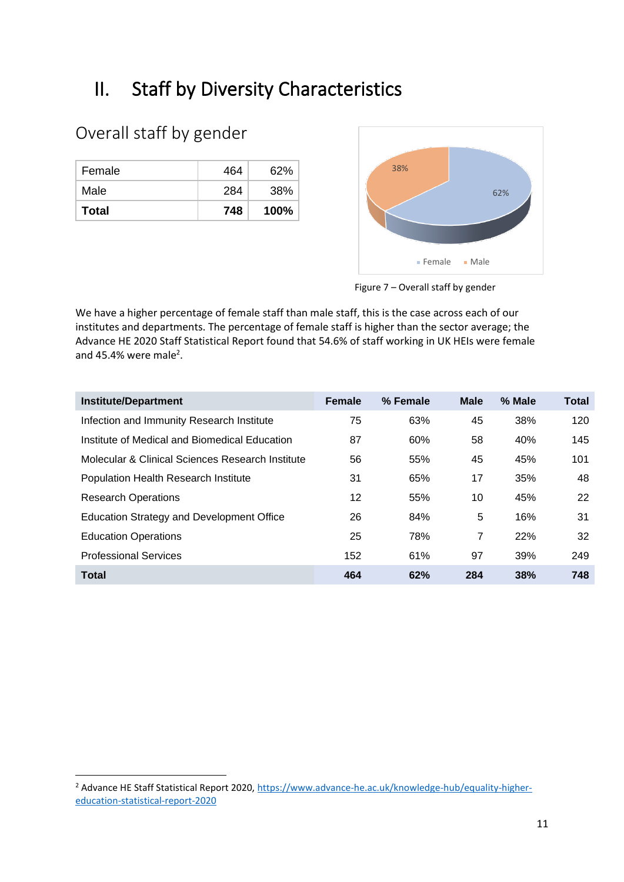# II. Staff by Diversity Characteristics

## Overall staff by gender

| Female | 464 | 62%  |
|--------|-----|------|
| Male   | 284 | 38%  |
| Total  | 748 | 100% |



Figure 7 – Overall staff by gender

We have a higher percentage of female staff than male staff, this is the case across each of our institutes and departments. The percentage of female staff is higher than the sector average; the Advance HE 2020 Staff Statistical Report found that 54.6% of staff working in UK HEIs were female and 45.4% were male<sup>2</sup>.

| <b>Institute/Department</b>                      | <b>Female</b> | % Female | <b>Male</b> | % Male | <b>Total</b> |
|--------------------------------------------------|---------------|----------|-------------|--------|--------------|
| Infection and Immunity Research Institute        | 75            | 63%      | 45          | 38%    | 120          |
| Institute of Medical and Biomedical Education    | 87            | 60%      | 58          | 40%    | 145          |
| Molecular & Clinical Sciences Research Institute | 56            | 55%      | 45          | 45%    | 101          |
| <b>Population Health Research Institute</b>      | 31            | 65%      | 17          | 35%    | 48           |
| <b>Research Operations</b>                       | 12            | 55%      | 10          | 45%    | 22           |
| Education Strategy and Development Office        | 26            | 84%      | 5           | 16%    | 31           |
| <b>Education Operations</b>                      | 25            | 78%      | 7           | 22%    | 32           |
| <b>Professional Services</b>                     | 152           | 61%      | 97          | 39%    | 249          |
| <b>Total</b>                                     | 464           | 62%      | 284         | 38%    | 748          |

<sup>&</sup>lt;sup>2</sup> Advance HE Staff Statistical Report 2020[, https://www.advance-he.ac.uk/knowledge-hub/equality-higher](https://www.advance-he.ac.uk/knowledge-hub/equality-higher-education-statistical-report-2020)[education-statistical-report-2020](https://www.advance-he.ac.uk/knowledge-hub/equality-higher-education-statistical-report-2020)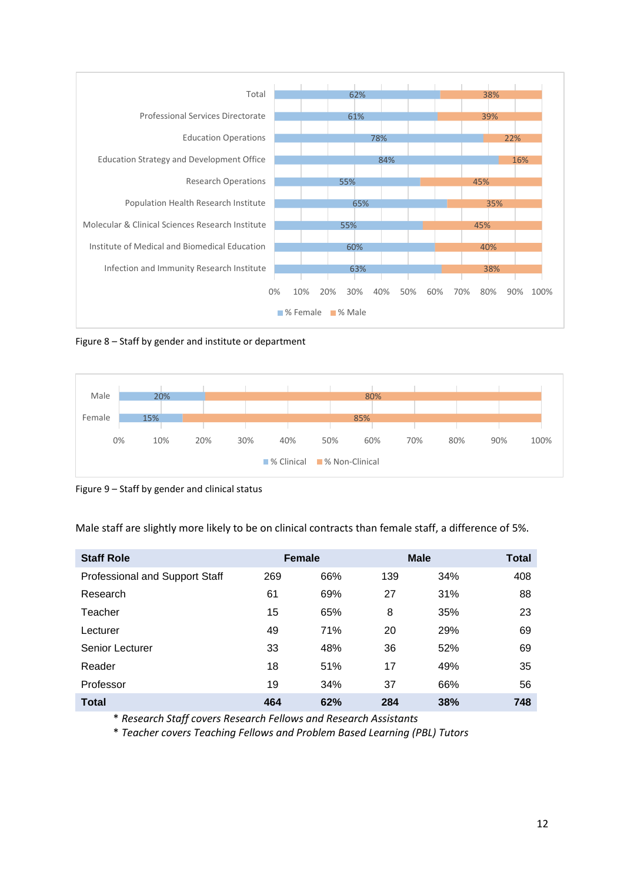

Figure 8 – Staff by gender and institute or department



Figure 9 – Staff by gender and clinical status

Male staff are slightly more likely to be on clinical contracts than female staff, a difference of 5%.

| <b>Staff Role</b>              | <b>Female</b> |     |     | <b>Male</b> | <b>Total</b> |
|--------------------------------|---------------|-----|-----|-------------|--------------|
| Professional and Support Staff | 269           | 66% | 139 | 34%         | 408          |
| Research                       | 61            | 69% | 27  | 31%         | 88           |
| Teacher                        | 15            | 65% | 8   | 35%         | 23           |
| Lecturer                       | 49            | 71% | 20  | 29%         | 69           |
| Senior Lecturer                | 33            | 48% | 36  | 52%         | 69           |
| Reader                         | 18            | 51% | 17  | 49%         | 35           |
| Professor                      | 19            | 34% | 37  | 66%         | 56           |
| <b>Total</b>                   | 464           | 62% | 284 | 38%         | 748          |

\* *Research Staff covers Research Fellows and Research Assistants* 

\* *Teacher covers Teaching Fellows and Problem Based Learning (PBL) Tutors*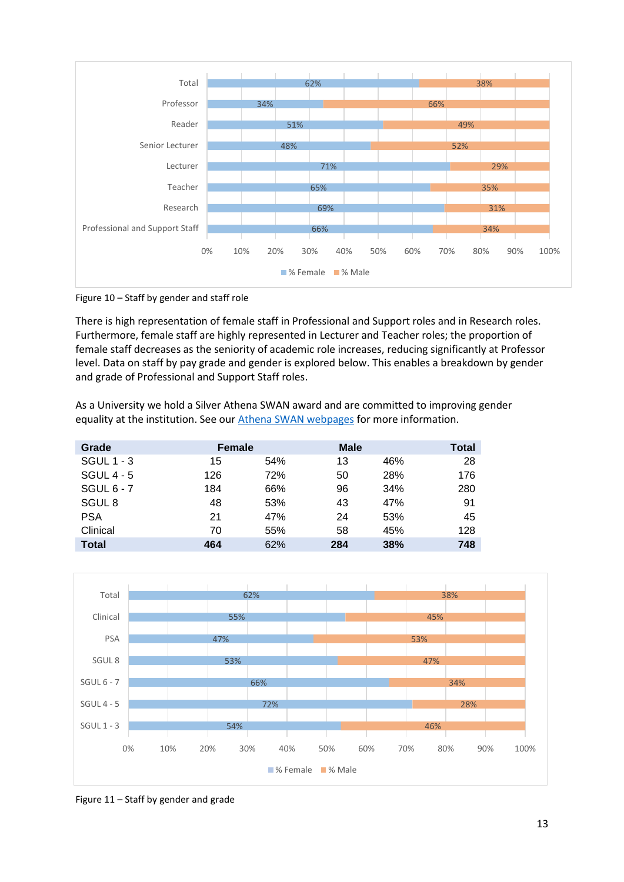

Figure 10 – Staff by gender and staff role

There is high representation of female staff in Professional and Support roles and in Research roles. Furthermore, female staff are highly represented in Lecturer and Teacher roles; the proportion of female staff decreases as the seniority of academic role increases, reducing significantly at Professor level. Data on staff by pay grade and gender is explored below. This enables a breakdown by gender and grade of Professional and Support Staff roles.

As a University we hold a Silver Athena SWAN award and are committed to improving gender equality at the institution. See our [Athena SWAN webpages](https://www.sgul.ac.uk/about/who-we-are/athena-swan) for more information.

| Grade             | <b>Female</b> |     | <b>Male</b> |     | <b>Total</b> |
|-------------------|---------------|-----|-------------|-----|--------------|
| <b>SGUL 1 - 3</b> | 15            | 54% | 13          | 46% | 28           |
| SGUL $4 - 5$      | 126           | 72% | 50          | 28% | 176          |
| SGUL $6 - 7$      | 184           | 66% | 96          | 34% | 280          |
| SGUL <sub>8</sub> | 48            | 53% | 43          | 47% | 91           |
| <b>PSA</b>        | 21            | 47% | 24          | 53% | 45           |
| Clinical          | 70            | 55% | 58          | 45% | 128          |
| <b>Total</b>      | 464           | 62% | 284         | 38% | 748          |



Figure 11 – Staff by gender and grade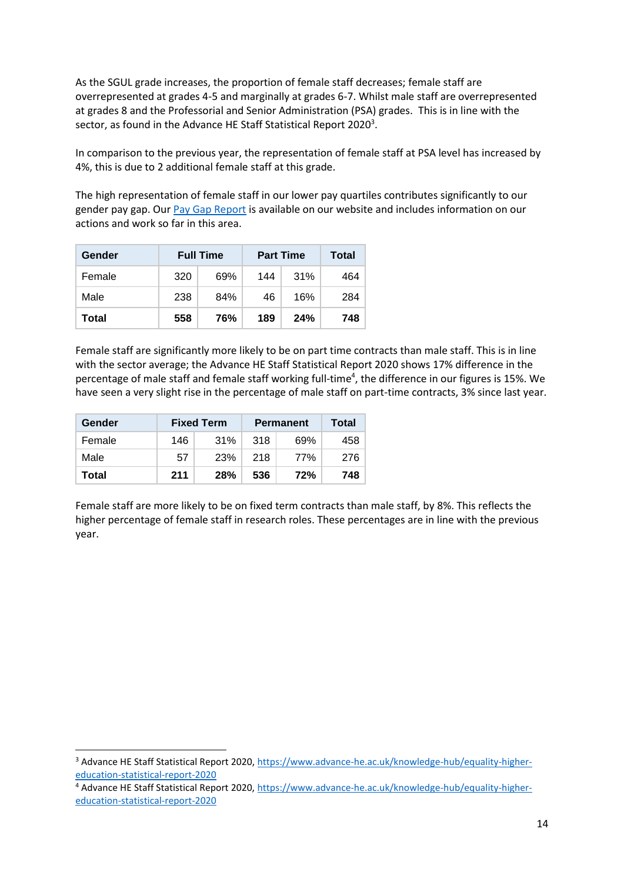As the SGUL grade increases, the proportion of female staff decreases; female staff are overrepresented at grades 4-5 and marginally at grades 6-7. Whilst male staff are overrepresented at grades 8 and the Professorial and Senior Administration (PSA) grades. This is in line with the sector, as found in the Advance HE Staff Statistical Report 2020<sup>3</sup>.

In comparison to the previous year, the representation of female staff at PSA level has increased by 4%, this is due to 2 additional female staff at this grade.

The high representation of female staff in our lower pay quartiles contributes significantly to our gender pay gap. Our [Pay Gap Report](https://www.sgul.ac.uk/about/our-professional-services/human-resources/equality-and-diversity/documents/Pay-Gap-Report-2020.pdf) is available on our website and includes information on our actions and work so far in this area.

| Gender |     | <b>Full Time</b> | <b>Part Time</b> | Total |     |
|--------|-----|------------------|------------------|-------|-----|
| Female | 320 | 69%              | 144              | 31%   | 464 |
| Male   | 238 | 84%              | 46               | 16%   | 284 |
| Total  | 558 | 76%              | 189              | 24%   | 748 |

Female staff are significantly more likely to be on part time contracts than male staff. This is in line with the sector average; the Advance HE Staff Statistical Report 2020 shows 17% difference in the percentage of male staff and female staff working full-time<sup>4</sup>, the difference in our figures is 15%. We have seen a very slight rise in the percentage of male staff on part-time contracts, 3% since last year.

| Gender | <b>Fixed Term</b> |            | <b>Permanent</b> | Total |     |
|--------|-------------------|------------|------------------|-------|-----|
| Female | 146               | 31%        | 318              | 69%   | 458 |
| Male   | 57                | 23%        | -218             | 77%   | 276 |
| Total  | 211               | <b>28%</b> | 536              | 72%   | 748 |

Female staff are more likely to be on fixed term contracts than male staff, by 8%. This reflects the higher percentage of female staff in research roles. These percentages are in line with the previous year.

<sup>3</sup> Advance HE Staff Statistical Report 2020[, https://www.advance-he.ac.uk/knowledge-hub/equality-higher](https://www.advance-he.ac.uk/knowledge-hub/equality-higher-education-statistical-report-2020)[education-statistical-report-2020](https://www.advance-he.ac.uk/knowledge-hub/equality-higher-education-statistical-report-2020) 

<sup>4</sup> Advance HE Staff Statistical Report 2020[, https://www.advance-he.ac.uk/knowledge-hub/equality-higher](https://www.advance-he.ac.uk/knowledge-hub/equality-higher-education-statistical-report-2020)[education-statistical-report-2020](https://www.advance-he.ac.uk/knowledge-hub/equality-higher-education-statistical-report-2020)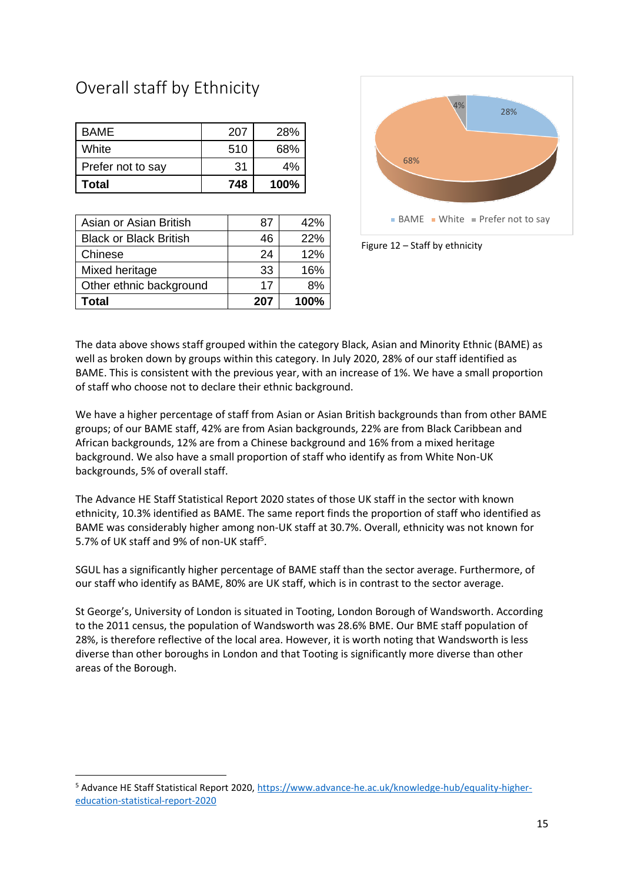## Overall staff by Ethnicity

| Total             | 748 | 100% |
|-------------------|-----|------|
| Prefer not to say | 31  | 4%   |
| White             | 510 | 68%  |
| BAME              | 207 | 28%  |

| Asian or Asian British        | 87  | 42%  |
|-------------------------------|-----|------|
| <b>Black or Black British</b> | 46  | 22%  |
| Chinese                       | 24  | 12%  |
| Mixed heritage                | 33  | 16%  |
| Other ethnic background       | 17  | 8%   |
| Total                         | 207 | 100% |



Figure 12 – Staff by ethnicity

The data above shows staff grouped within the category Black, Asian and Minority Ethnic (BAME) as well as broken down by groups within this category. In July 2020, 28% of our staff identified as BAME. This is consistent with the previous year, with an increase of 1%. We have a small proportion of staff who choose not to declare their ethnic background.

We have a higher percentage of staff from Asian or Asian British backgrounds than from other BAME groups; of our BAME staff, 42% are from Asian backgrounds, 22% are from Black Caribbean and African backgrounds, 12% are from a Chinese background and 16% from a mixed heritage background. We also have a small proportion of staff who identify as from White Non-UK backgrounds, 5% of overall staff.

The Advance HE Staff Statistical Report 2020 states of those UK staff in the sector with known ethnicity, 10.3% identified as BAME. The same report finds the proportion of staff who identified as BAME was considerably higher among non-UK staff at 30.7%. Overall, ethnicity was not known for 5.7% of UK staff and 9% of non-UK staff<sup>5</sup>.

SGUL has a significantly higher percentage of BAME staff than the sector average. Furthermore, of our staff who identify as BAME, 80% are UK staff, which is in contrast to the sector average.

St George's, University of London is situated in Tooting, London Borough of Wandsworth. According to the 2011 census, the population of Wandsworth was 28.6% BME. Our BME staff population of 28%, is therefore reflective of the local area. However, it is worth noting that Wandsworth is less diverse than other boroughs in London and that Tooting is significantly more diverse than other areas of the Borough.

<sup>5</sup> Advance HE Staff Statistical Report 2020[, https://www.advance-he.ac.uk/knowledge-hub/equality-higher](https://www.advance-he.ac.uk/knowledge-hub/equality-higher-education-statistical-report-2020)[education-statistical-report-2020](https://www.advance-he.ac.uk/knowledge-hub/equality-higher-education-statistical-report-2020)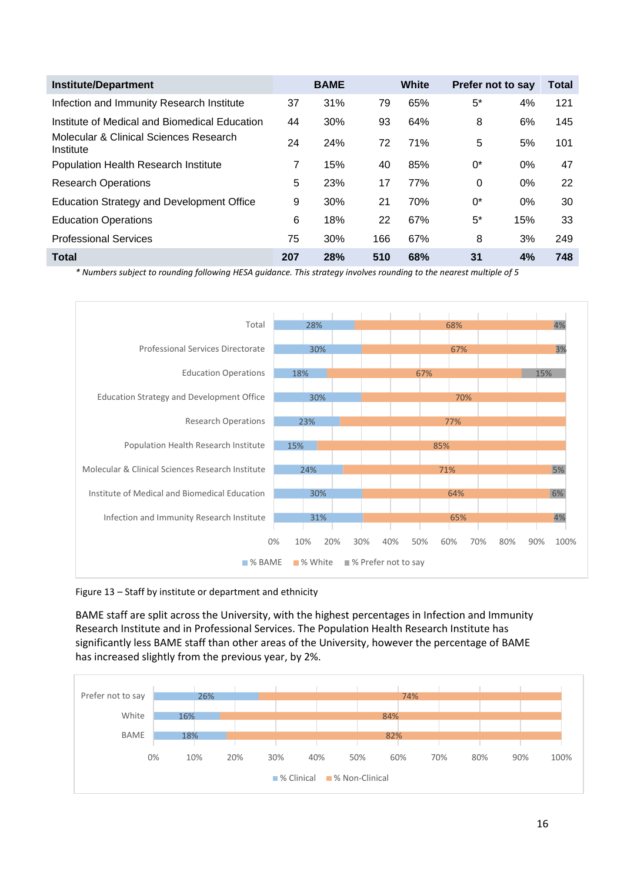| <b>Institute/Department</b>                         |     | <b>BAME</b> |     | White | Prefer not to say |       | Total |
|-----------------------------------------------------|-----|-------------|-----|-------|-------------------|-------|-------|
| Infection and Immunity Research Institute           | 37  | 31%         | 79  | 65%   | $5^*$             | 4%    | 121   |
| Institute of Medical and Biomedical Education       | 44  | 30%         | 93  | 64%   | 8                 | 6%    | 145   |
| Molecular & Clinical Sciences Research<br>Institute | 24  | 24%         | 72  | 71%   | 5                 | 5%    | 101   |
| <b>Population Health Research Institute</b>         | 7   | 15%         | 40  | 85%   | $0^*$             | $0\%$ | 47    |
| <b>Research Operations</b>                          | 5   | 23%         | 17  | 77%   | 0                 | $0\%$ | 22    |
| <b>Education Strategy and Development Office</b>    | 9   | 30%         | 21  | 70%   | 0*                | $0\%$ | 30    |
| <b>Education Operations</b>                         | 6   | 18%         | 22  | 67%   | $5^*$             | 15%   | 33    |
| <b>Professional Services</b>                        | 75  | 30%         | 166 | 67%   | 8                 | 3%    | 249   |
| <b>Total</b>                                        | 207 | 28%         | 510 | 68%   | 31                | 4%    | 748   |

*\* Numbers subject to rounding following HESA guidance. This strategy involves rounding to the nearest multiple of 5*



Figure 13 – Staff by institute or department and ethnicity

BAME staff are split across the University, with the highest percentages in Infection and Immunity Research Institute and in Professional Services. The Population Health Research Institute has significantly less BAME staff than other areas of the University, however the percentage of BAME has increased slightly from the previous year, by 2%.

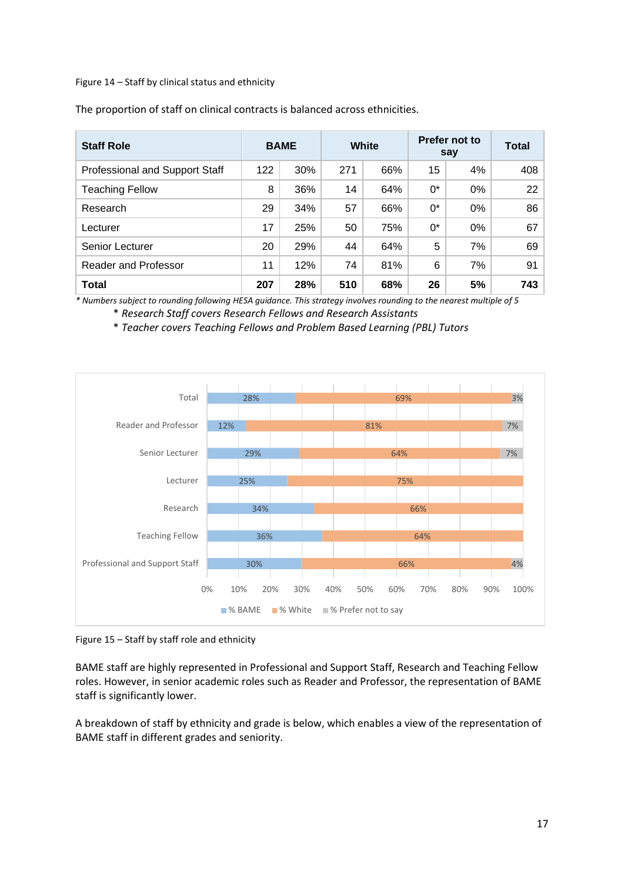Figure 14 – Staff by clinical status and ethnicity

| <b>Staff Role</b>                     | White<br><b>BAME</b> |     | Prefer not to<br>say | <b>Total</b> |       |       |     |
|---------------------------------------|----------------------|-----|----------------------|--------------|-------|-------|-----|
| <b>Professional and Support Staff</b> | 122                  | 30% | 271                  | 66%          | 15    | 4%    | 408 |
| <b>Teaching Fellow</b>                | 8                    | 36% | 14                   | 64%          | $0^*$ | $0\%$ | 22  |
| Research                              | 29                   | 34% | 57                   | 66%          | $0^*$ | $0\%$ | 86  |
| Lecturer                              | 17                   | 25% | 50                   | 75%          | $0^*$ | 0%    | 67  |
| Senior Lecturer                       | 20                   | 29% | 44                   | 64%          | 5     | 7%    | 69  |
| Reader and Professor                  | 11                   | 12% | 74                   | 81%          | 6     | 7%    | 91  |
| <b>Total</b>                          | 207                  | 28% | 510                  | 68%          | 26    | 5%    | 743 |

The proportion of staff on clinical contracts is balanced across ethnicities.

*\* Numbers subject to rounding following HESA guidance. This strategy involves rounding to the nearest multiple of 5*

\* *Research Staff covers Research Fellows and Research Assistants* 

\* *Teacher covers Teaching Fellows and Problem Based Learning (PBL) Tutors* 



Figure 15 – Staff by staff role and ethnicity

BAME staff are highly represented in Professional and Support Staff, Research and Teaching Fellow roles. However, in senior academic roles such as Reader and Professor, the representation of BAME staff is significantly lower.

A breakdown of staff by ethnicity and grade is below, which enables a view of the representation of BAME staff in different grades and seniority.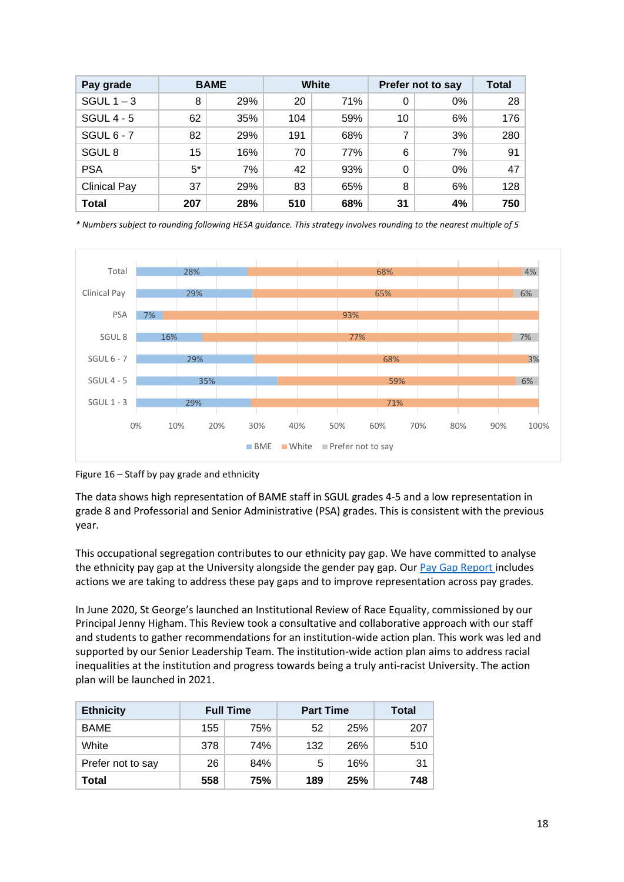| Pay grade           |       | <b>BAME</b> | White<br>Prefer not to say |     |    |    | <b>Total</b> |
|---------------------|-------|-------------|----------------------------|-----|----|----|--------------|
| SGUL $1 - 3$        | 8     | 29%         | 20                         | 71% | 0  | 0% | 28           |
| <b>SGUL 4 - 5</b>   | 62    | 35%         | 104                        | 59% | 10 | 6% | 176          |
| SGUL $6 - 7$        | 82    | 29%         | 191                        | 68% | 7  | 3% | 280          |
| SGUL <sub>8</sub>   | 15    | 16%         | 70                         | 77% | 6  | 7% | 91           |
| <b>PSA</b>          | $5^*$ | 7%          | 42                         | 93% | 0  | 0% | 47           |
| <b>Clinical Pay</b> | 37    | 29%         | 83                         | 65% | 8  | 6% | 128          |
| <b>Total</b>        | 207   | 28%         | 510                        | 68% | 31 | 4% | 750          |

*\* Numbers subject to rounding following HESA guidance. This strategy involves rounding to the nearest multiple of 5*



Figure 16 – Staff by pay grade and ethnicity

The data shows high representation of BAME staff in SGUL grades 4-5 and a low representation in grade 8 and Professorial and Senior Administrative (PSA) grades. This is consistent with the previous year.

This occupational segregation contributes to our ethnicity pay gap. We have committed to analyse the ethnicity pay gap at the University alongside the gender pay gap. Ou[r Pay Gap Report](https://www.sgul.ac.uk/about/our-professional-services/human-resources/equality-and-diversity/documents/Pay-Gap-Report-2020.pdf) includes actions we are taking to address these pay gaps and to improve representation across pay grades.

In June 2020, St George's launched an Institutional Review of Race Equality, commissioned by our Principal Jenny Higham. This Review took a consultative and collaborative approach with our staff and students to gather recommendations for an institution-wide action plan. This work was led and supported by our Senior Leadership Team. The institution-wide action plan aims to address racial inequalities at the institution and progress towards being a truly anti-racist University. The action plan will be launched in 2021.

| <b>Ethnicity</b>  | <b>Full Time</b> |     | <b>Part Time</b> | Total |     |
|-------------------|------------------|-----|------------------|-------|-----|
| <b>BAME</b>       | 155              | 75% | 52               | 25%   | 207 |
| White             | 378              | 74% | 132              | 26%   | 510 |
| Prefer not to say | 26               | 84% | 5                | 16%   | 31  |
| Total             | 558              | 75% | 189              | 25%   | 748 |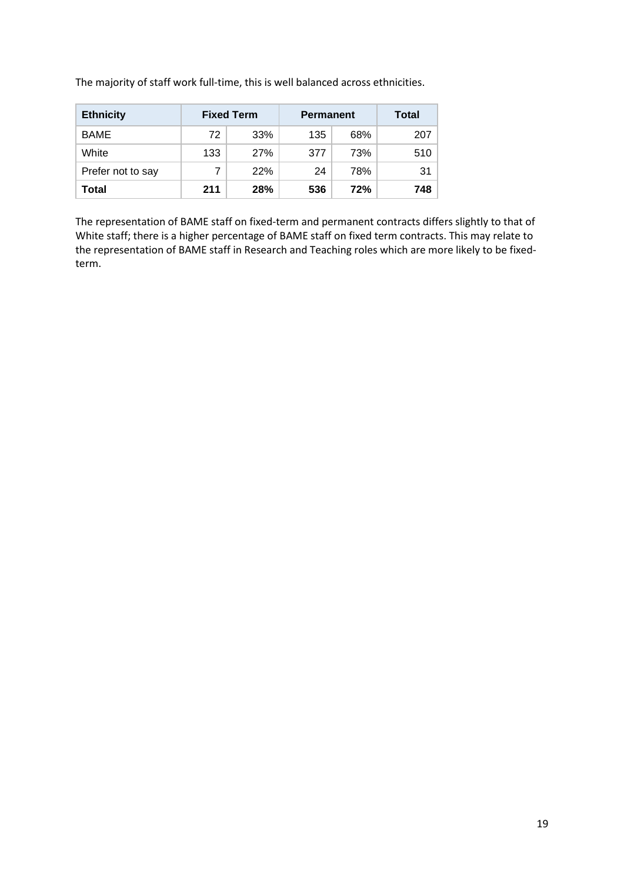The majority of staff work full-time, this is well balanced across ethnicities.

| <b>Ethnicity</b>  | <b>Fixed Term</b> |            | <b>Permanent</b> | Total |     |
|-------------------|-------------------|------------|------------------|-------|-----|
| <b>BAME</b>       | 72                | 33%        | 135              | 68%   | 207 |
| White             | 133               | <b>27%</b> | 377              | 73%   | 510 |
| Prefer not to say |                   | 22%        | 24               | 78%   | 31  |
| Total             | 211               | 28%        | 536              | 72%   | 748 |

The representation of BAME staff on fixed-term and permanent contracts differs slightly to that of White staff; there is a higher percentage of BAME staff on fixed term contracts. This may relate to the representation of BAME staff in Research and Teaching roles which are more likely to be fixedterm.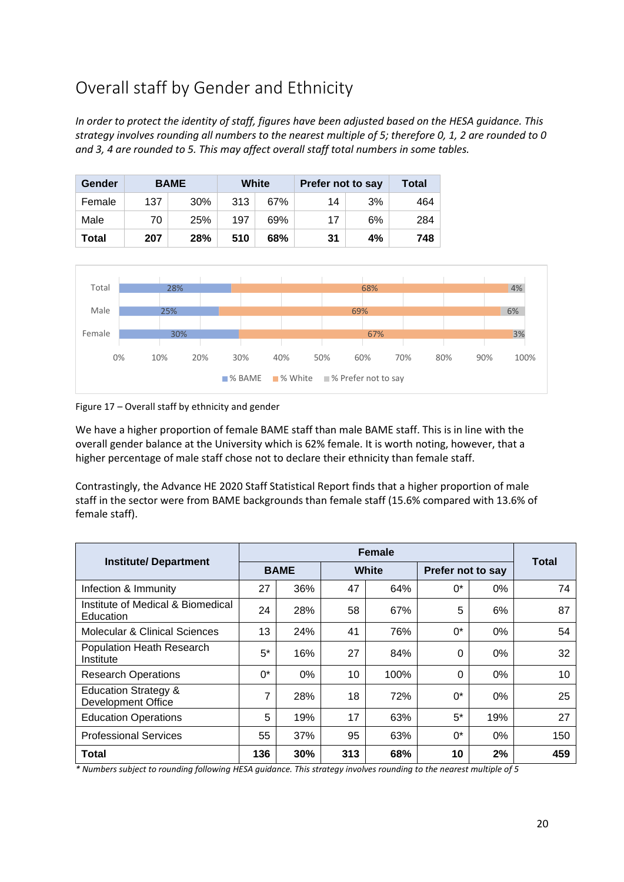# Overall staff by Gender and Ethnicity

*In order to protect the identity of staff, figures have been adjusted based on the HESA guidance. This strategy involves rounding all numbers to the nearest multiple of 5; therefore 0, 1, 2 are rounded to 0 and 3, 4 are rounded to 5. This may affect overall staff total numbers in some tables.*

| Gender |     | <b>BAME</b> | White |     | Prefer not to say | Total |     |
|--------|-----|-------------|-------|-----|-------------------|-------|-----|
| Female | 137 | 30%         | 313   | 67% | 14                | 3%    | 464 |
| Male   | 70  | 25%         | 197   | 69% | 17                | 6%    | 284 |
| Total  | 207 | 28%         | 510   | 68% | 31                | 4%    | 748 |



### Figure 17 – Overall staff by ethnicity and gender

We have a higher proportion of female BAME staff than male BAME staff. This is in line with the overall gender balance at the University which is 62% female. It is worth noting, however, that a higher percentage of male staff chose not to declare their ethnicity than female staff.

Contrastingly, the Advance HE 2020 Staff Statistical Report finds that a higher proportion of male staff in the sector were from BAME backgrounds than female staff (15.6% compared with 13.6% of female staff).

|                                                              |             |     |     | <b>Female</b> |       |                   | <b>Total</b> |  |
|--------------------------------------------------------------|-------------|-----|-----|---------------|-------|-------------------|--------------|--|
| <b>Institute/ Department</b>                                 | <b>BAME</b> |     |     | <b>White</b>  |       | Prefer not to say |              |  |
| Infection & Immunity                                         | 27          | 36% | 47  | 64%           | $0^*$ | $0\%$             | 74           |  |
| Institute of Medical & Biomedical<br>Education               | 24          | 28% | 58  | 67%           | 5     | 6%                | 87           |  |
| Molecular & Clinical Sciences                                | 13          | 24% | 41  | 76%           | $0^*$ | 0%                | 54           |  |
| Population Heath Research<br>Institute                       | $5^*$       | 16% | 27  | 84%           | 0     | $0\%$             | 32           |  |
| <b>Research Operations</b>                                   | $0^*$       | 0%  | 10  | 100%          | 0     | 0%                | 10           |  |
| <b>Education Strategy &amp;</b><br><b>Development Office</b> | 7           | 28% | 18  | 72%           | $0^*$ | $0\%$             | 25           |  |
| <b>Education Operations</b>                                  | 5           | 19% | 17  | 63%           | $5^*$ | 19%               | 27           |  |
| <b>Professional Services</b>                                 | 55          | 37% | 95  | 63%           | $0^*$ | $0\%$             | 150          |  |
| <b>Total</b>                                                 | 136         | 30% | 313 | 68%           | 10    | 2%                | 459          |  |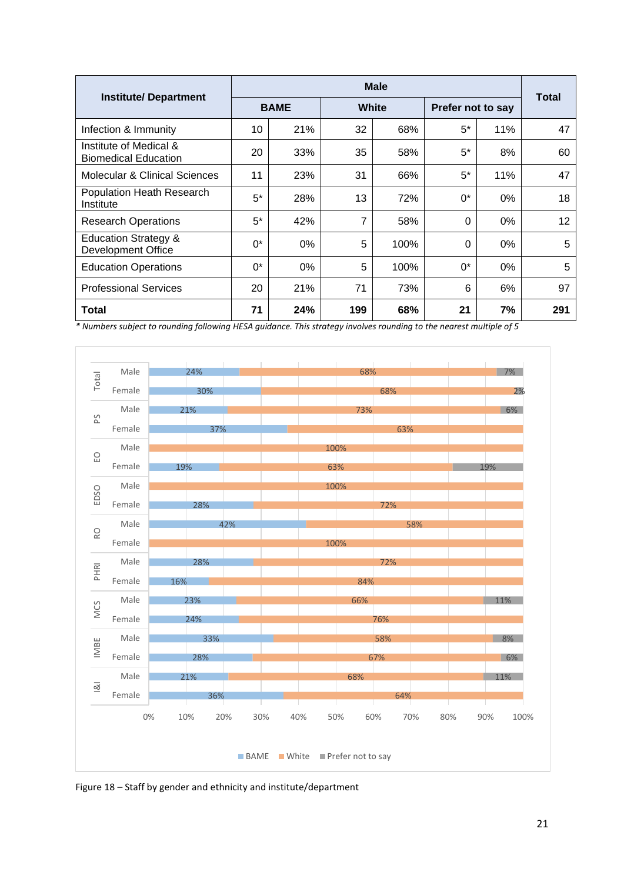|                                                              |             |       |     | <b>Male</b> |                   |              |     |
|--------------------------------------------------------------|-------------|-------|-----|-------------|-------------------|--------------|-----|
| <b>Institute/ Department</b>                                 | <b>BAME</b> |       |     | White       | Prefer not to say | <b>Total</b> |     |
| Infection & Immunity                                         | 10          | 21%   | 32  | 68%         | $5^*$             | 11%          | 47  |
| Institute of Medical &<br><b>Biomedical Education</b>        | 20          | 33%   | 35  | 58%         | $5^*$             | 8%           | 60  |
| Molecular & Clinical Sciences                                | 11          | 23%   | 31  | 66%         | $5^*$             | 11%          | 47  |
| Population Heath Research<br>Institute                       | $5^*$       | 28%   | 13  | 72%         | 0*                | $0\%$        | 18  |
| <b>Research Operations</b>                                   | 5*          | 42%   | 7   | 58%         | 0                 | $0\%$        | 12  |
| <b>Education Strategy &amp;</b><br><b>Development Office</b> | $0^*$       | $0\%$ | 5   | 100%        | 0                 | $0\%$        | 5   |
| <b>Education Operations</b>                                  | 0*          | $0\%$ | 5   | 100%        | $0^*$             | $0\%$        | 5   |
| <b>Professional Services</b>                                 | 20          | 21%   | 71  | 73%         | 6                 | 6%           | 97  |
| Total                                                        | 71          | 24%   | 199 | 68%         | 21                | 7%           | 291 |



Figure 18 – Staff by gender and ethnicity and institute/department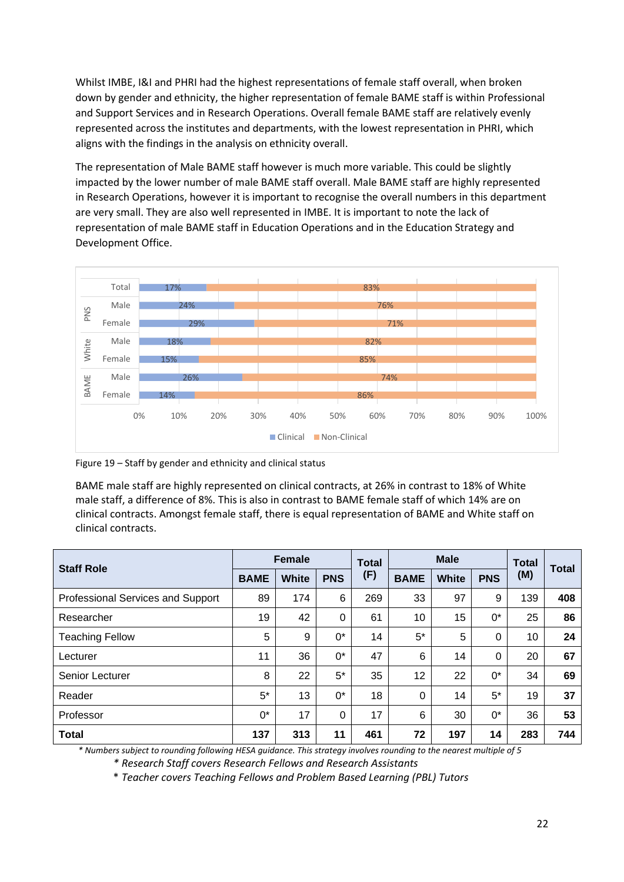Whilst IMBE, I&I and PHRI had the highest representations of female staff overall, when broken down by gender and ethnicity, the higher representation of female BAME staff is within Professional and Support Services and in Research Operations. Overall female BAME staff are relatively evenly represented across the institutes and departments, with the lowest representation in PHRI, which aligns with the findings in the analysis on ethnicity overall.

The representation of Male BAME staff however is much more variable. This could be slightly impacted by the lower number of male BAME staff overall. Male BAME staff are highly represented in Research Operations, however it is important to recognise the overall numbers in this department are very small. They are also well represented in IMBE. It is important to note the lack of representation of male BAME staff in Education Operations and in the Education Strategy and Development Office.



Figure 19 – Staff by gender and ethnicity and clinical status

BAME male staff are highly represented on clinical contracts, at 26% in contrast to 18% of White male staff, a difference of 8%. This is also in contrast to BAME female staff of which 14% are on clinical contracts. Amongst female staff, there is equal representation of BAME and White staff on clinical contracts.

| <b>Staff Role</b>                 |             | <b>Female</b> |            |     | <b>Male</b> |              |            | <b>Total</b> | <b>Total</b> |
|-----------------------------------|-------------|---------------|------------|-----|-------------|--------------|------------|--------------|--------------|
|                                   | <b>BAME</b> | <b>White</b>  | <b>PNS</b> | (F) | <b>BAME</b> | <b>White</b> | <b>PNS</b> | (M)          |              |
| Professional Services and Support | 89          | 174           | 6          | 269 | 33          | 97           | 9          | 139          | 408          |
| Researcher                        | 19          | 42            | 0          | 61  | 10          | 15           | 0*         | 25           | 86           |
| <b>Teaching Fellow</b>            | 5           | 9             | 0*         | 14  | $5^*$       | 5            | 0          | 10           | 24           |
| Lecturer                          | 11          | 36            | $0^*$      | 47  | 6           | 14           | 0          | 20           | 67           |
| Senior Lecturer                   | 8           | 22            | $5^*$      | 35  | 12          | 22           | 0*         | 34           | 69           |
| Reader                            | $5^*$       | 13            | $0^*$      | 18  | $\Omega$    | 14           | $5^*$      | 19           | 37           |
| Professor                         | 0*          | 17            | 0          | 17  | 6           | 30           | $0^*$      | 36           | 53           |
| <b>Total</b>                      | 137         | 313           | 11         | 461 | 72          | 197          | 14         | 283          | 744          |

*\* Numbers subject to rounding following HESA guidance. This strategy involves rounding to the nearest multiple of 5*

*\* Research Staff covers Research Fellows and Research Assistants* 

\* *Teacher covers Teaching Fellows and Problem Based Learning (PBL) Tutors*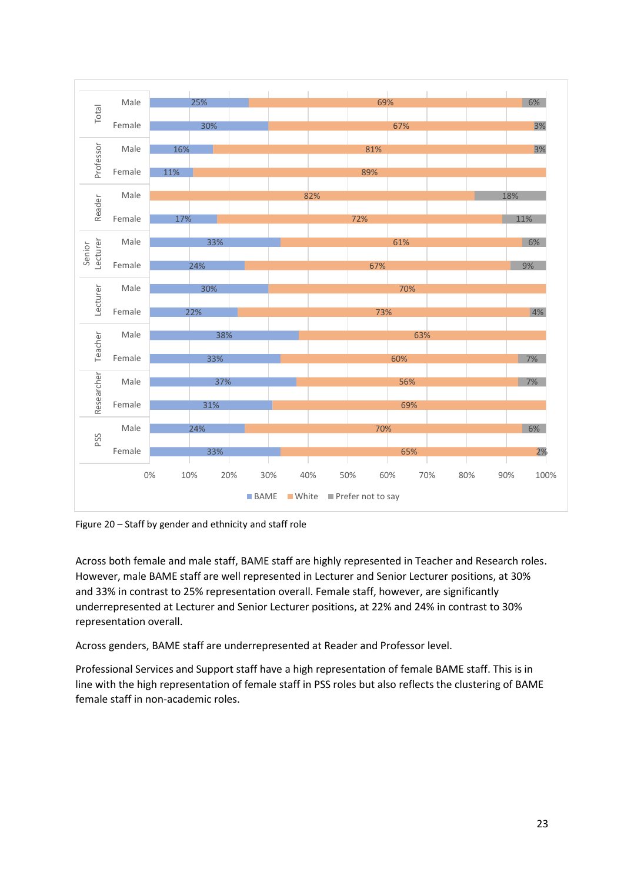

Figure 20 – Staff by gender and ethnicity and staff role

Across both female and male staff, BAME staff are highly represented in Teacher and Research roles. However, male BAME staff are well represented in Lecturer and Senior Lecturer positions, at 30% and 33% in contrast to 25% representation overall. Female staff, however, are significantly underrepresented at Lecturer and Senior Lecturer positions, at 22% and 24% in contrast to 30% representation overall.

Across genders, BAME staff are underrepresented at Reader and Professor level.

Professional Services and Support staff have a high representation of female BAME staff. This is in line with the high representation of female staff in PSS roles but also reflects the clustering of BAME female staff in non-academic roles.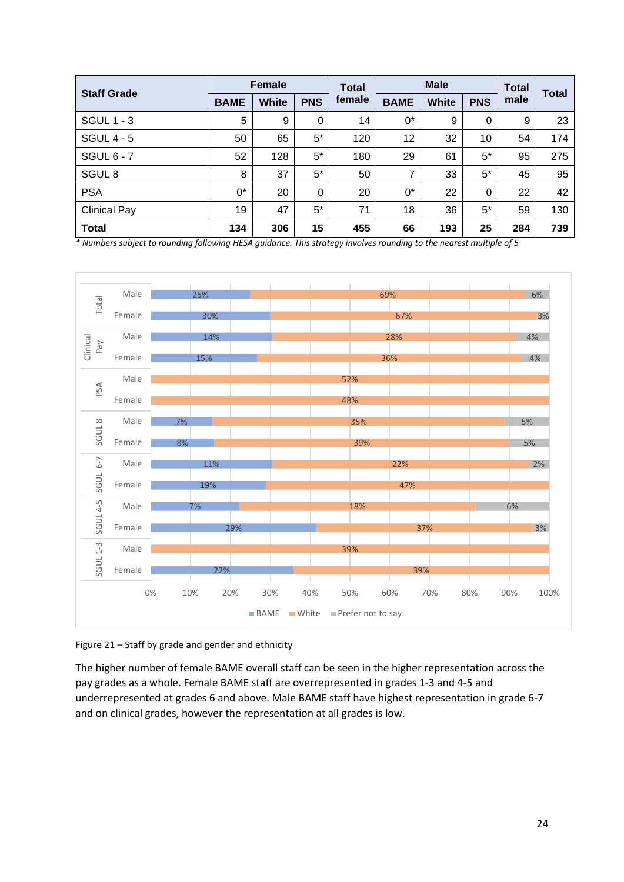| <b>Staff Grade</b>  | <b>Female</b> |       | <b>Total</b> | <b>Male</b> |             |              | <b>Total</b> | Total |     |
|---------------------|---------------|-------|--------------|-------------|-------------|--------------|--------------|-------|-----|
|                     | <b>BAME</b>   | White | <b>PNS</b>   | female      | <b>BAME</b> | <b>White</b> | <b>PNS</b>   | male  |     |
| <b>SGUL 1 - 3</b>   | 5             | 9     | $\mathbf 0$  | 14          | 0*          | 9            | 0            | 9     | 23  |
| <b>SGUL 4 - 5</b>   | 50            | 65    | $5^*$        | 120         | 12          | 32           | 10           | 54    | 174 |
| <b>SGUL 6 - 7</b>   | 52            | 128   | $5^*$        | 180         | 29          | 61           | $5^*$        | 95    | 275 |
| SGUL <sub>8</sub>   | 8             | 37    | $5^*$        | 50          | 7           | 33           | 5*           | 45    | 95  |
| <b>PSA</b>          | $0^*$         | 20    | $\mathbf 0$  | 20          | $0^*$       | 22           | 0            | 22    | 42  |
| <b>Clinical Pay</b> | 19            | 47    | $5^*$        | 71          | 18          | 36           | $5^*$        | 59    | 130 |
| <b>Total</b>        | 134           | 306   | 15           | 455         | 66          | 193          | 25           | 284   | 739 |

*\* Numbers subject to rounding following HESA guidance. This strategy involves rounding to the nearest multiple of 5*



Figure 21 – Staff by grade and gender and ethnicity

The higher number of female BAME overall staff can be seen in the higher representation across the pay grades as a whole. Female BAME staff are overrepresented in grades 1-3 and 4-5 and underrepresented at grades 6 and above. Male BAME staff have highest representation in grade 6-7 and on clinical grades, however the representation at all grades is low.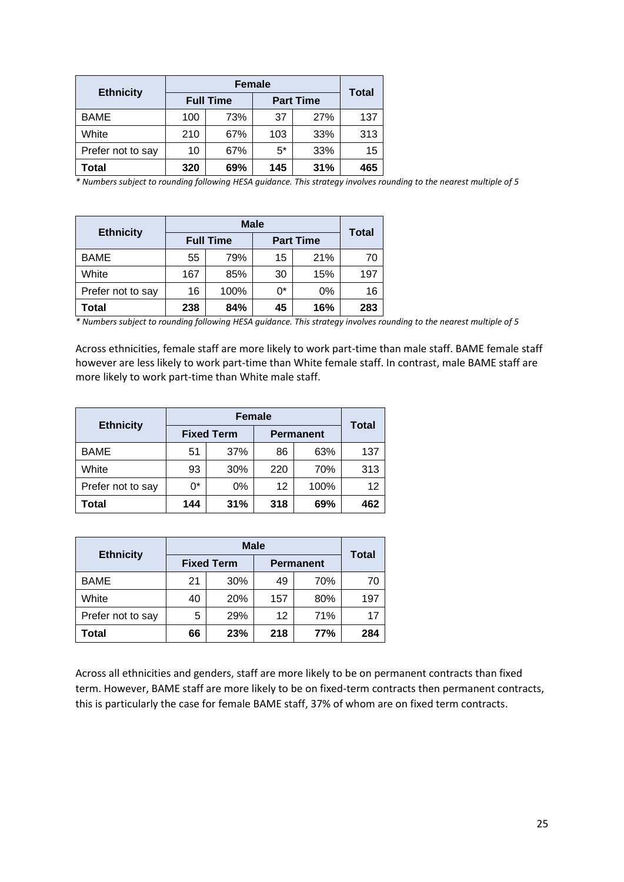|                   |     | <b>Total</b>     |                  |     |     |
|-------------------|-----|------------------|------------------|-----|-----|
| <b>Ethnicity</b>  |     | <b>Full Time</b> | <b>Part Time</b> |     |     |
| <b>BAME</b>       | 100 | 73%              | 37               | 27% | 137 |
| White             | 210 | 67%              | 103              | 33% | 313 |
| Prefer not to say | 10  | 67%              | $5*$             | 33% | 15  |
| Total             | 320 | 69%              | 145              | 31% | 465 |

*\* Numbers subject to rounding following HESA guidance. This strategy involves rounding to the nearest multiple of 5*

| <b>Ethnicity</b>  |     | <b>Full Time</b> | <b>Part Time</b> | Total |     |
|-------------------|-----|------------------|------------------|-------|-----|
| <b>BAME</b>       | 55  | 79%              | 15               | 21%   | 70  |
| White             | 167 | 85%              | 30               | 15%   | 197 |
| Prefer not to say | 16  | 100%             | 0*               | 0%    | 16  |
| Total             | 238 | 84%              | 45               | 16%   | 283 |

*\* Numbers subject to rounding following HESA guidance. This strategy involves rounding to the nearest multiple of 5*

Across ethnicities, female staff are more likely to work part-time than male staff. BAME female staff however are less likely to work part-time than White female staff. In contrast, male BAME staff are more likely to work part-time than White male staff.

| <b>Ethnicity</b>  |       | <b>Total</b>      |                  |      |     |  |
|-------------------|-------|-------------------|------------------|------|-----|--|
|                   |       | <b>Fixed Term</b> | <b>Permanent</b> |      |     |  |
| <b>BAME</b>       | 51    | 37%               | 86               | 63%  | 137 |  |
| White             | 93    | 30%               | 220              | 70%  | 313 |  |
| Prefer not to say | $0^*$ | 0%                | 12               | 100% | 12  |  |
| Total             | 144   | 31%               | 318              | 69%  |     |  |

|                   |    | <b>Male</b>       |                  |              |     |  |  |  |
|-------------------|----|-------------------|------------------|--------------|-----|--|--|--|
| <b>Ethnicity</b>  |    | <b>Fixed Term</b> | <b>Permanent</b> | <b>Total</b> |     |  |  |  |
| <b>BAME</b>       | 21 | 30%               | 49               | 70%          | 70  |  |  |  |
| White             | 40 | 20%               | 157              | 80%          | 197 |  |  |  |
| Prefer not to say | 5  | 29%               | 12               | 71%          | 17  |  |  |  |
| Total             | 66 | 23%               | 218              | 77%          | 284 |  |  |  |

Across all ethnicities and genders, staff are more likely to be on permanent contracts than fixed term. However, BAME staff are more likely to be on fixed-term contracts then permanent contracts, this is particularly the case for female BAME staff, 37% of whom are on fixed term contracts.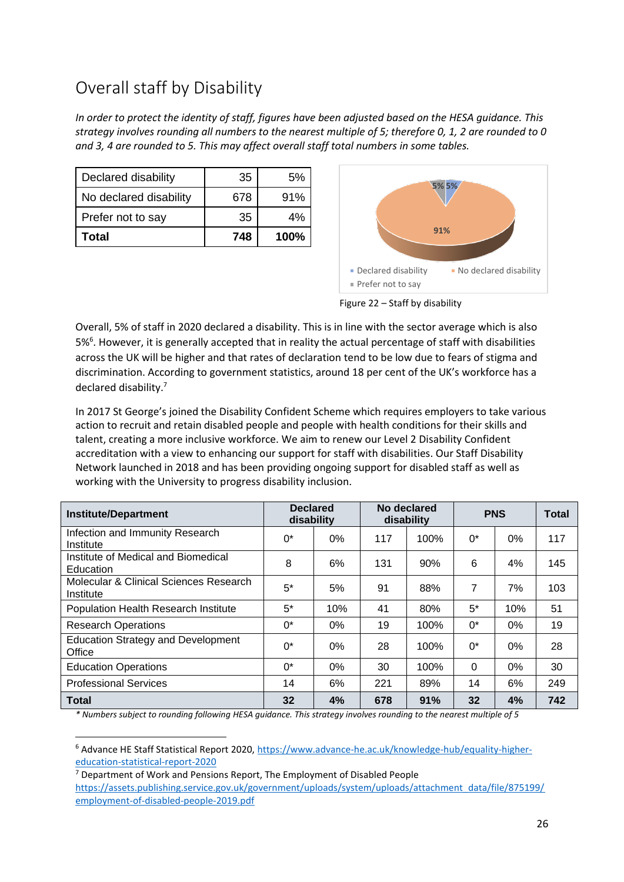# Overall staff by Disability

*In order to protect the identity of staff, figures have been adjusted based on the HESA guidance. This strategy involves rounding all numbers to the nearest multiple of 5; therefore 0, 1, 2 are rounded to 0 and 3, 4 are rounded to 5. This may affect overall staff total numbers in some tables.*

| Declared disability    | 35  | 5%   |
|------------------------|-----|------|
| No declared disability | 678 | 91%  |
| Prefer not to say      | 35  | 4%   |
| Total                  | 748 | 100% |



Figure 22 – Staff by disability

Overall, 5% of staff in 2020 declared a disability. This is in line with the sector average which is also 5%<sup>6</sup>. However, it is generally accepted that in reality the actual percentage of staff with disabilities across the UK will be higher and that rates of declaration tend to be low due to fears of stigma and discrimination. According to government statistics, around 18 per cent of the UK's workforce has a declared disability.<sup>7</sup>

In 2017 St George's joined the Disability Confident Scheme which requires employers to take various action to recruit and retain disabled people and people with health conditions for their skills and talent, creating a more inclusive workforce. We aim to renew our Level 2 Disability Confident accreditation with a view to enhancing our support for staff with disabilities. Our Staff Disability Network launched in 2018 and has been providing ongoing support for disabled staff as well as working with the University to progress disability inclusion.

| <b>Institute/Department</b>                         | <b>Declared</b><br>disability |       |     | No declared<br>disability |          | <b>PNS</b> |     |
|-----------------------------------------------------|-------------------------------|-------|-----|---------------------------|----------|------------|-----|
| Infection and Immunity Research<br>Institute        | $0^*$                         | $0\%$ | 117 | 100%                      | $0^*$    | 0%         | 117 |
| Institute of Medical and Biomedical<br>Education    | 8                             | 6%    | 131 | 90%                       | 6        | 4%         | 145 |
| Molecular & Clinical Sciences Research<br>Institute | $5*$                          | 5%    | 91  | 88%                       | 7        | 7%         | 103 |
| <b>Population Health Research Institute</b>         | $5^*$                         | 10%   | 41  | 80%                       | $5^*$    | 10%        | 51  |
| <b>Research Operations</b>                          | 0*                            | $0\%$ | 19  | 100%                      | $0^*$    | $0\%$      | 19  |
| <b>Education Strategy and Development</b><br>Office | $0^*$                         | $0\%$ | 28  | 100%                      | $0^*$    | $0\%$      | 28  |
| <b>Education Operations</b>                         | $0^*$                         | 0%    | 30  | 100%                      | $\Omega$ | 0%         | 30  |
| <b>Professional Services</b>                        | 14                            | 6%    | 221 | 89%                       | 14       | 6%         | 249 |
| <b>Total</b>                                        | 32                            | 4%    | 678 | 91%                       | 32       | 4%         | 742 |

<sup>6</sup> Advance HE Staff Statistical Report 2020[, https://www.advance-he.ac.uk/knowledge-hub/equality-higher](https://www.advance-he.ac.uk/knowledge-hub/equality-higher-education-statistical-report-2020)[education-statistical-report-2020](https://www.advance-he.ac.uk/knowledge-hub/equality-higher-education-statistical-report-2020) 

<sup>&</sup>lt;sup>7</sup> Department of Work and Pensions Report, The Employment of Disabled People [https://assets.publishing.service.gov.uk/government/uploads/system/uploads/attachment\\_data/file/875199/](https://assets.publishing.service.gov.uk/government/uploads/system/uploads/attachment_data/file/875199/employment-of-disabled-people-2019.pdf) [employment-of-disabled-people-2019.pdf](https://assets.publishing.service.gov.uk/government/uploads/system/uploads/attachment_data/file/875199/employment-of-disabled-people-2019.pdf)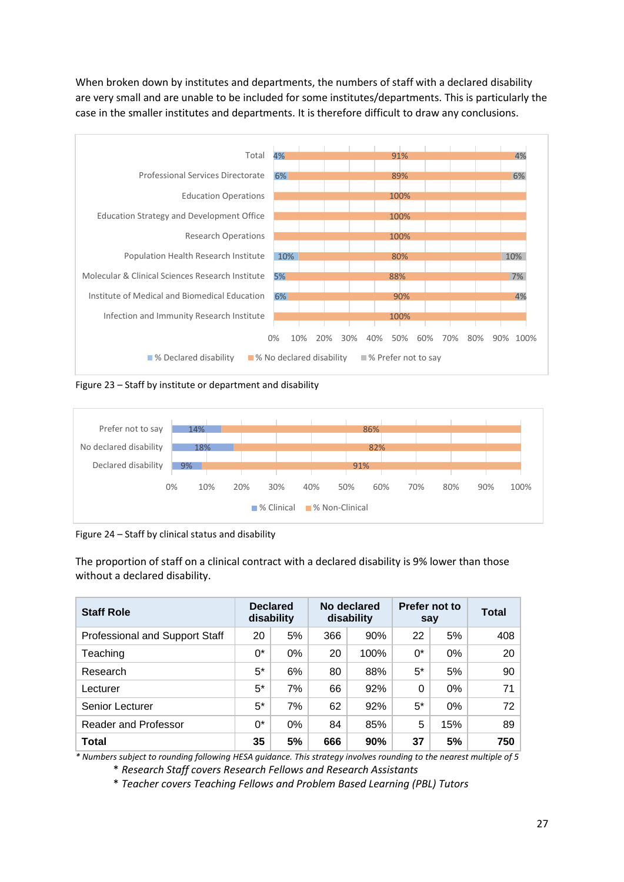When broken down by institutes and departments, the numbers of staff with a declared disability are very small and are unable to be included for some institutes/departments. This is particularly the case in the smaller institutes and departments. It is therefore difficult to draw any conclusions.



Figure 23 – Staff by institute or department and disability



Figure 24 – Staff by clinical status and disability

The proportion of staff on a clinical contract with a declared disability is 9% lower than those without a declared disability.

| <b>Staff Role</b>              |       | <b>Declared</b><br>disability |     | No declared<br>disability | Prefer not to<br>say |       | <b>Total</b>    |
|--------------------------------|-------|-------------------------------|-----|---------------------------|----------------------|-------|-----------------|
| Professional and Support Staff | 20    | 5%                            | 366 | 90%                       | 22                   | 5%    | 408             |
| Teaching                       | 0*    | 0%                            | 20  | 100%                      | 0*                   | $0\%$ | 20              |
| Research                       | $5*$  | 6%                            | 80  | 88%                       | 5*                   | 5%    | 90 <sup>°</sup> |
| Lecturer                       | $5^*$ | 7%                            | 66  | 92%                       | 0                    | $0\%$ | 71              |
| <b>Senior Lecturer</b>         | $5^*$ | 7%                            | 62  | 92%                       | 5*                   | 0%    | 72              |
| <b>Reader and Professor</b>    | $0^*$ | $0\%$                         | 84  | 85%                       | 5                    | 15%   | 89              |
| <b>Total</b>                   | 35    | 5%                            | 666 | 90%                       | 37                   | 5%    | 750             |

*\* Numbers subject to rounding following HESA guidance. This strategy involves rounding to the nearest multiple of 5*

\* *Research Staff covers Research Fellows and Research Assistants* 

\* *Teacher covers Teaching Fellows and Problem Based Learning (PBL) Tutors*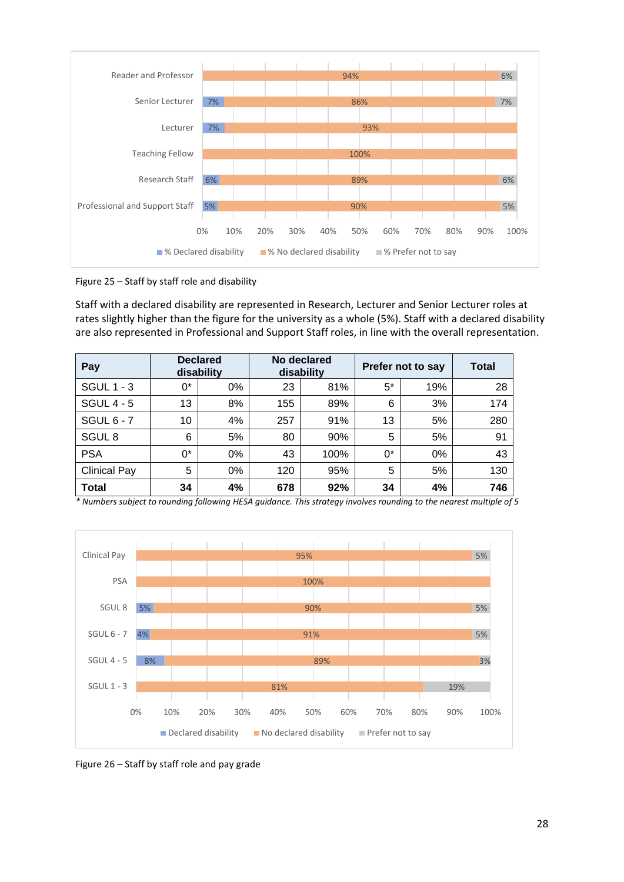

Figure 25 – Staff by staff role and disability

Staff with a declared disability are represented in Research, Lecturer and Senior Lecturer roles at rates slightly higher than the figure for the university as a whole (5%). Staff with a declared disability are also represented in Professional and Support Staff roles, in line with the overall representation.

| Pay                 |       | <b>Declared</b><br>disability | No declared<br>disability |      | Prefer not to say | <b>Total</b> |     |
|---------------------|-------|-------------------------------|---------------------------|------|-------------------|--------------|-----|
| <b>SGUL 1 - 3</b>   | $0^*$ | 0%                            | 23                        | 81%  | 5*                | 19%          | 28  |
| <b>SGUL 4 - 5</b>   | 13    | 8%                            | 155                       | 89%  | 6                 | 3%           | 174 |
| <b>SGUL 6 - 7</b>   | 10    | 4%                            | 257                       | 91%  | 13                | 5%           | 280 |
| SGUL <sub>8</sub>   | 6     | 5%                            | 80                        | 90%  | 5                 | 5%           | 91  |
| <b>PSA</b>          | $0^*$ | 0%                            | 43                        | 100% | 0*                | 0%           | 43  |
| <b>Clinical Pay</b> | 5     | $0\%$                         | 120                       | 95%  | 5                 | 5%           | 130 |
| <b>Total</b>        | 34    | 4%                            | 678                       | 92%  | 34                | 4%           | 746 |



Figure 26 – Staff by staff role and pay grade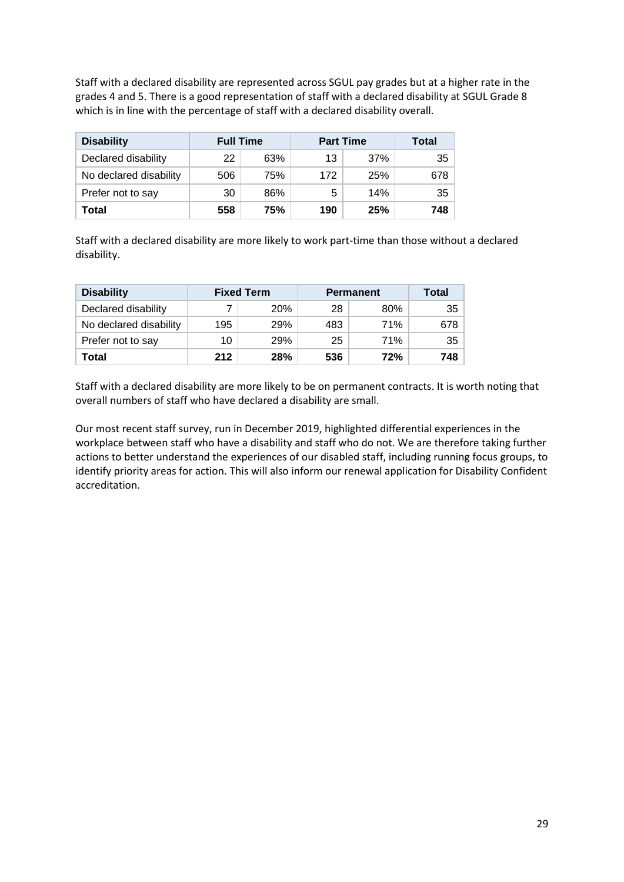Staff with a declared disability are represented across SGUL pay grades but at a higher rate in the grades 4 and 5. There is a good representation of staff with a declared disability at SGUL Grade 8 which is in line with the percentage of staff with a declared disability overall.

| <b>Disability</b>      | <b>Full Time</b> |     | <b>Part Time</b> | Total |                 |
|------------------------|------------------|-----|------------------|-------|-----------------|
| Declared disability    | 22               | 63% | 13               | 37%   | 35 <sup>2</sup> |
| No declared disability | 506              | 75% | 172              | 25%   | 678             |
| Prefer not to say      | 30               | 86% | 5                | 14%   | 35 <sup>2</sup> |
| Total                  | 558              | 75% | 190              | 25%   | 748             |

Staff with a declared disability are more likely to work part-time than those without a declared disability.

| <b>Disability</b>      |     | <b>Fixed Term</b> | <b>Permanent</b> | <b>Total</b> |      |
|------------------------|-----|-------------------|------------------|--------------|------|
| Declared disability    |     | <b>20%</b>        | 28               | 80%          | 35 I |
| No declared disability | 195 | 29%               | 483              | 71%          | 678  |
| Prefer not to say      | 10  | 29%               | 25               | 71%          | 35   |
| Total                  | 212 | 28%               | 536              | 72%          | 748  |

Staff with a declared disability are more likely to be on permanent contracts. It is worth noting that overall numbers of staff who have declared a disability are small.

Our most recent staff survey, run in December 2019, highlighted differential experiences in the workplace between staff who have a disability and staff who do not. We are therefore taking further actions to better understand the experiences of our disabled staff, including running focus groups, to identify priority areas for action. This will also inform our renewal application for Disability Confident accreditation.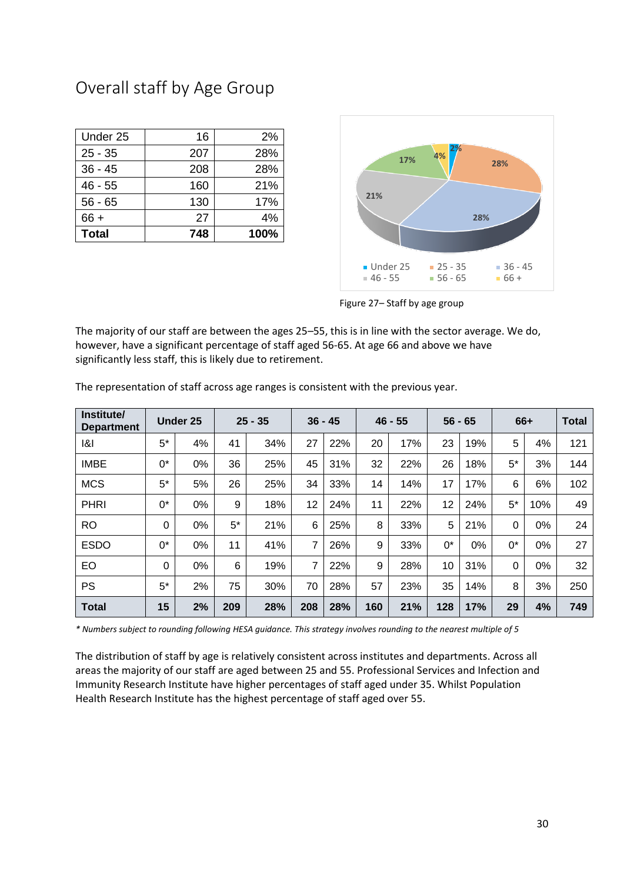## Overall staff by Age Group

| <b>Total</b> | 748 | 100% |
|--------------|-----|------|
| $66 +$       | 27  | 4%   |
| $56 - 65$    | 130 | 17%  |
| $46 - 55$    | 160 | 21%  |
| $36 - 45$    | 208 | 28%  |
| $25 - 35$    | 207 | 28%  |
| Under 25     | 16  | 2%   |



Figure 27– Staff by age group

The majority of our staff are between the ages 25–55, this is in line with the sector average. We do, however, have a significant percentage of staff aged 56-65. At age 66 and above we have significantly less staff, this is likely due to retirement.

| Institute/<br><b>Department</b> |          | <b>Under 25</b> |       | $25 - 35$ |     | $36 - 45$ |     | $46 - 55$ |       | $56 - 65$ |          | 66+ | <b>Total</b> |
|---------------------------------|----------|-----------------|-------|-----------|-----|-----------|-----|-----------|-------|-----------|----------|-----|--------------|
| 1&1                             | $5^*$    | 4%              | 41    | 34%       | 27  | 22%       | 20  | 17%       | 23    | 19%       | 5        | 4%  | 121          |
| <b>IMBE</b>                     | $0^*$    | 0%              | 36    | 25%       | 45  | 31%       | 32  | 22%       | 26    | 18%       | $5^*$    | 3%  | 144          |
| <b>MCS</b>                      | $5^*$    | 5%              | 26    | 25%       | 34  | 33%       | 14  | 14%       | 17    | 17%       | 6        | 6%  | 102          |
| <b>PHRI</b>                     | $0^*$    | 0%              | 9     | 18%       | 12  | 24%       | 11  | 22%       | 12    | 24%       | $5^*$    | 10% | 49           |
| <b>RO</b>                       | $\Omega$ | 0%              | $5^*$ | 21%       | 6   | 25%       | 8   | 33%       | 5     | 21%       | 0        | 0%  | 24           |
| <b>ESDO</b>                     | 0*       | 0%              | 11    | 41%       | 7   | 26%       | 9   | 33%       | $0^*$ | 0%        | 0*       | 0%  | 27           |
| EO                              | $\Omega$ | 0%              | 6     | 19%       | 7   | 22%       | 9   | 28%       | 10    | 31%       | $\Omega$ | 0%  | 32           |
| <b>PS</b>                       | $5^*$    | 2%              | 75    | 30%       | 70  | 28%       | 57  | 23%       | 35    | 14%       | 8        | 3%  | 250          |
| <b>Total</b>                    | 15       | 2%              | 209   | 28%       | 208 | 28%       | 160 | 21%       | 128   | 17%       | 29       | 4%  | 749          |

The representation of staff across age ranges is consistent with the previous year.

*\* Numbers subject to rounding following HESA guidance. This strategy involves rounding to the nearest multiple of 5*

The distribution of staff by age is relatively consistent across institutes and departments. Across all areas the majority of our staff are aged between 25 and 55. Professional Services and Infection and Immunity Research Institute have higher percentages of staff aged under 35. Whilst Population Health Research Institute has the highest percentage of staff aged over 55.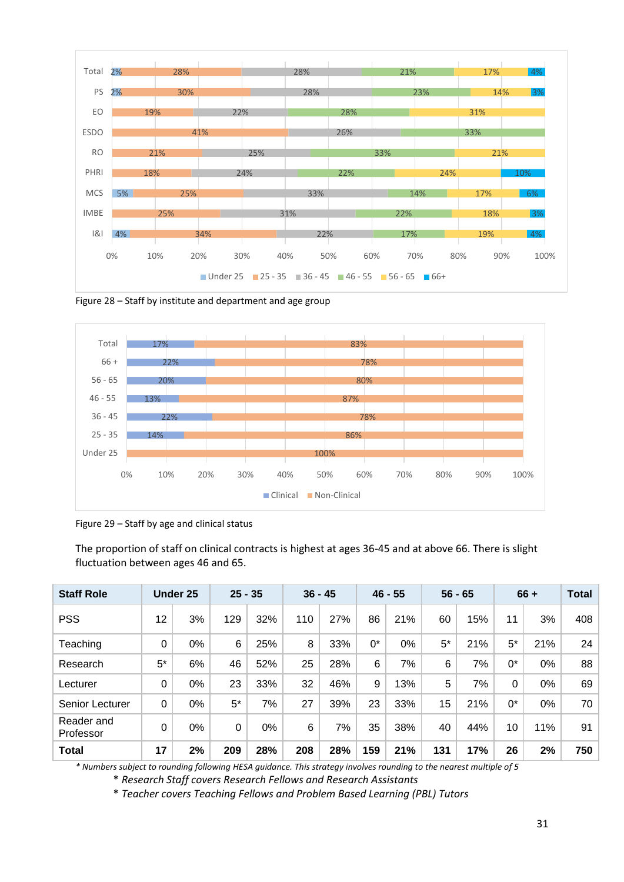

Figure 28 – Staff by institute and department and age group



Figure 29 – Staff by age and clinical status

The proportion of staff on clinical contracts is highest at ages 36-45 and at above 66. There is slight fluctuation between ages 46 and 65.

| <b>Staff Role</b>       |      | <b>Under 25</b> | $25 - 35$ |     |     | $36 - 45$ |       | $46 - 55$ |       | $56 - 65$ |          | $66 +$ | <b>Total</b> |
|-------------------------|------|-----------------|-----------|-----|-----|-----------|-------|-----------|-------|-----------|----------|--------|--------------|
| <b>PSS</b>              | 12   | 3%              | 129       | 32% | 110 | 27%       | 86    | 21%       | 60    | 15%       | 11       | 3%     | 408          |
| Teaching                | 0    | 0%              | 6         | 25% | 8   | 33%       | $0^*$ | 0%        | $5^*$ | 21%       | $5^*$    | 21%    | 24           |
| Research                | $5*$ | 6%              | 46        | 52% | 25  | 28%       | 6     | 7%        | 6     | 7%        | $0^*$    | 0%     | 88           |
| Lecturer                | 0    | 0%              | 23        | 33% | 32  | 46%       | 9     | 13%       | 5     | 7%        | $\Omega$ | 0%     | 69           |
| Senior Lecturer         | 0    | 0%              | $5^*$     | 7%  | 27  | 39%       | 23    | 33%       | 15    | 21%       | $0^*$    | 0%     | 70           |
| Reader and<br>Professor | 0    | 0%              | $\Omega$  | 0%  | 6   | 7%        | 35    | 38%       | 40    | 44%       | 10       | 11%    | 91           |
| <b>Total</b>            | 17   | 2%              | 209       | 28% | 208 | 28%       | 159   | 21%       | 131   | 17%       | 26       | 2%     | 750          |

*\* Numbers subject to rounding following HESA guidance. This strategy involves rounding to the nearest multiple of 5*

\* *Research Staff covers Research Fellows and Research Assistants* 

\* *Teacher covers Teaching Fellows and Problem Based Learning (PBL) Tutors*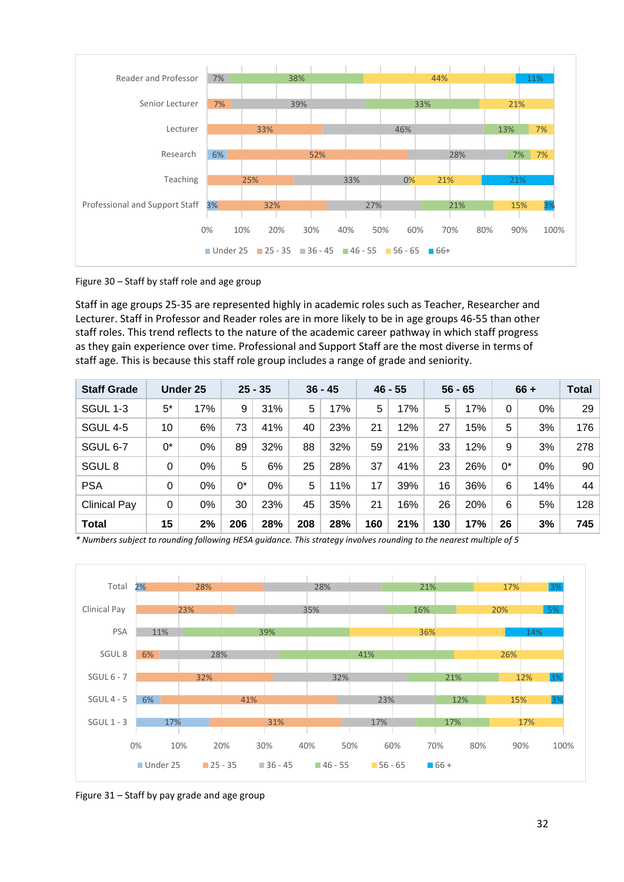

Figure 30 – Staff by staff role and age group

Staff in age groups 25-35 are represented highly in academic roles such as Teacher, Researcher and Lecturer. Staff in Professor and Reader roles are in more likely to be in age groups 46-55 than other staff roles. This trend reflects to the nature of the academic career pathway in which staff progress as they gain experience over time. Professional and Support Staff are the most diverse in terms of staff age. This is because this staff role group includes a range of grade and seniority.

| <b>Staff Grade</b>  |          | Under 25 |       | $25 - 35$ |     | $36 - 45$ |     | $46 - 55$ |     | $56 - 65$ |       | $66 +$ | <b>Total</b> |
|---------------------|----------|----------|-------|-----------|-----|-----------|-----|-----------|-----|-----------|-------|--------|--------------|
| SGUL 1-3            | $5^*$    | 17%      | 9     | 31%       | 5   | 17%       | 5   | 17%       | 5   | 17%       | 0     | 0%     | 29           |
| <b>SGUL 4-5</b>     | 10       | 6%       | 73    | 41%       | 40  | 23%       | 21  | 12%       | 27  | 15%       | 5     | 3%     | 176          |
| SGUL 6-7            | 0*       | 0%       | 89    | 32%       | 88  | 32%       | 59  | 21%       | 33  | 12%       | 9     | 3%     | 278          |
| SGUL <sub>8</sub>   | $\Omega$ | $0\%$    | 5     | 6%        | 25  | 28%       | 37  | 41%       | 23  | 26%       | $0^*$ | 0%     | 90           |
| <b>PSA</b>          | 0        | 0%       | $0^*$ | 0%        | 5   | 11%       | 17  | 39%       | 16  | 36%       | 6     | 14%    | 44           |
| <b>Clinical Pay</b> | $\Omega$ | 0%       | 30    | 23%       | 45  | 35%       | 21  | 16%       | 26  | 20%       | 6     | 5%     | 128          |
| <b>Total</b>        | 15       | 2%       | 206   | 28%       | 208 | 28%       | 160 | 21%       | 130 | 17%       | 26    | 3%     | 745          |



Figure 31 – Staff by pay grade and age group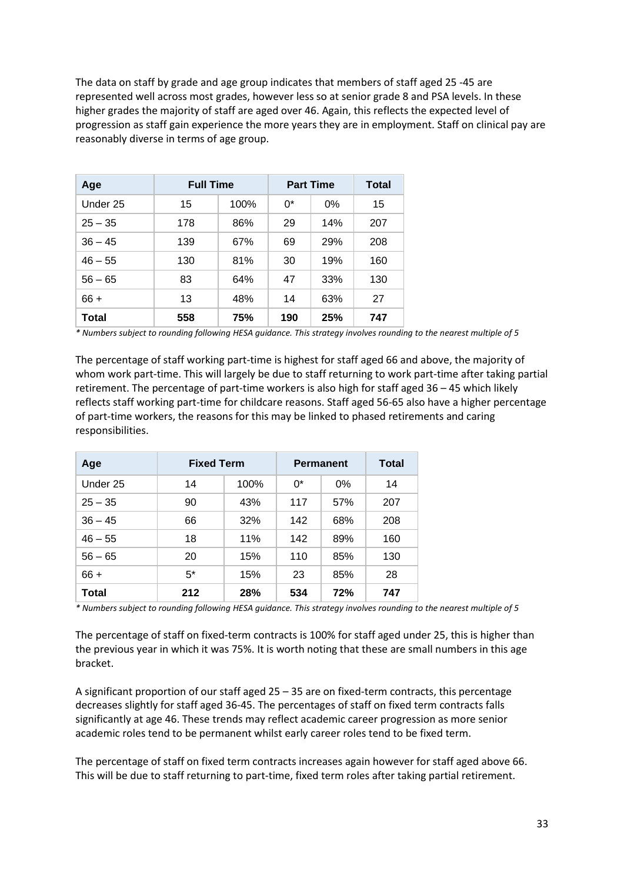The data on staff by grade and age group indicates that members of staff aged 25 -45 are represented well across most grades, however less so at senior grade 8 and PSA levels. In these higher grades the majority of staff are aged over 46. Again, this reflects the expected level of progression as staff gain experience the more years they are in employment. Staff on clinical pay are reasonably diverse in terms of age group.

| Age          | <b>Full Time</b> | <b>Part Time</b> | Total |       |     |
|--------------|------------------|------------------|-------|-------|-----|
| Under 25     | 15               | 100%             | $0^*$ | $0\%$ | 15  |
| $25 - 35$    | 178              | 86%              | 29    | 14%   | 207 |
| $36 - 45$    | 139              | 67%              | 69    | 29%   | 208 |
| $46 - 55$    | 130              | 81%              | 30    | 19%   | 160 |
| $56 - 65$    | 83               | 64%              | 47    | 33%   | 130 |
| $66 +$       | 13               | 48%              | 14    | 63%   | 27  |
| <b>Total</b> | 558              | 75%              | 190   | 25%   | 747 |

*\* Numbers subject to rounding following HESA guidance. This strategy involves rounding to the nearest multiple of 5*

The percentage of staff working part-time is highest for staff aged 66 and above, the majority of whom work part-time. This will largely be due to staff returning to work part-time after taking partial retirement. The percentage of part-time workers is also high for staff aged 36 – 45 which likely reflects staff working part-time for childcare reasons. Staff aged 56-65 also have a higher percentage of part-time workers, the reasons for this may be linked to phased retirements and caring responsibilities.

| Age       | <b>Fixed Term</b> | <b>Permanent</b> | Total |     |     |
|-----------|-------------------|------------------|-------|-----|-----|
| Under 25  | 14                | 100%             | 0*    | 0%  | 14  |
| $25 - 35$ | 90                | 43%              | 117   | 57% | 207 |
| $36 - 45$ | 66                | 32%              | 142   | 68% | 208 |
| $46 - 55$ | 18                | 11%              | 142   | 89% | 160 |
| $56 - 65$ | 20                | 15%              | 110   | 85% | 130 |
| $66 +$    | $5*$              | 15%              | 23    | 85% | 28  |
| Total     | 212               | 28%              | 534   | 72% | 747 |

*\* Numbers subject to rounding following HESA guidance. This strategy involves rounding to the nearest multiple of 5*

The percentage of staff on fixed-term contracts is 100% for staff aged under 25, this is higher than the previous year in which it was 75%. It is worth noting that these are small numbers in this age bracket.

A significant proportion of our staff aged 25 – 35 are on fixed-term contracts, this percentage decreases slightly for staff aged 36-45. The percentages of staff on fixed term contracts falls significantly at age 46. These trends may reflect academic career progression as more senior academic roles tend to be permanent whilst early career roles tend to be fixed term.

The percentage of staff on fixed term contracts increases again however for staff aged above 66. This will be due to staff returning to part-time, fixed term roles after taking partial retirement.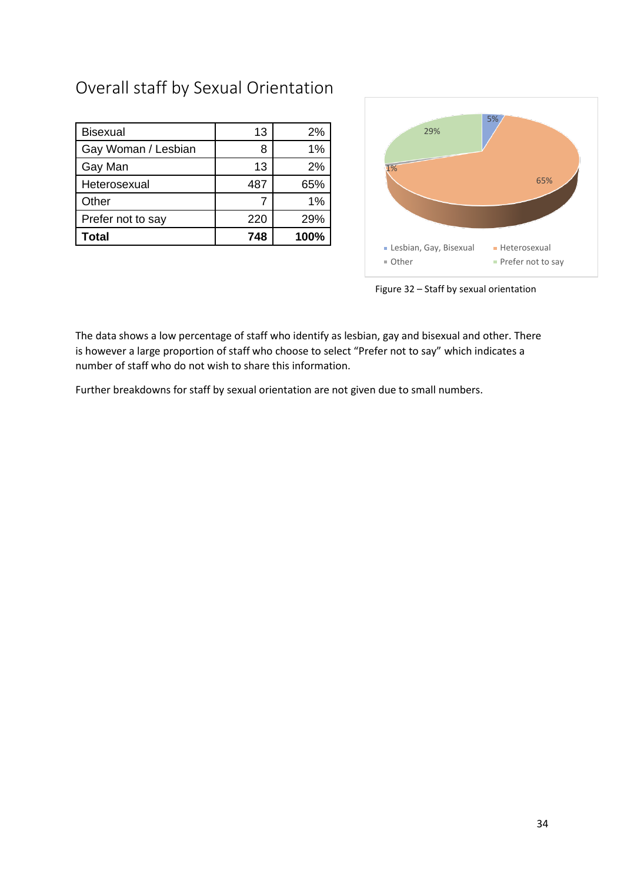# Overall staff by Sexual Orientation

| <b>Bisexual</b>     | 13  | 2%   |
|---------------------|-----|------|
| Gay Woman / Lesbian |     | 1%   |
| Gay Man             | 13  | 2%   |
| Heterosexual        | 487 | 65%  |
| Other               |     | 1%   |
| Prefer not to say   | 220 | 29%  |
| Total               | 748 | 100% |



Figure 32 – Staff by sexual orientation

The data shows a low percentage of staff who identify as lesbian, gay and bisexual and other. There is however a large proportion of staff who choose to select "Prefer not to say" which indicates a number of staff who do not wish to share this information.

Further breakdowns for staff by sexual orientation are not given due to small numbers.